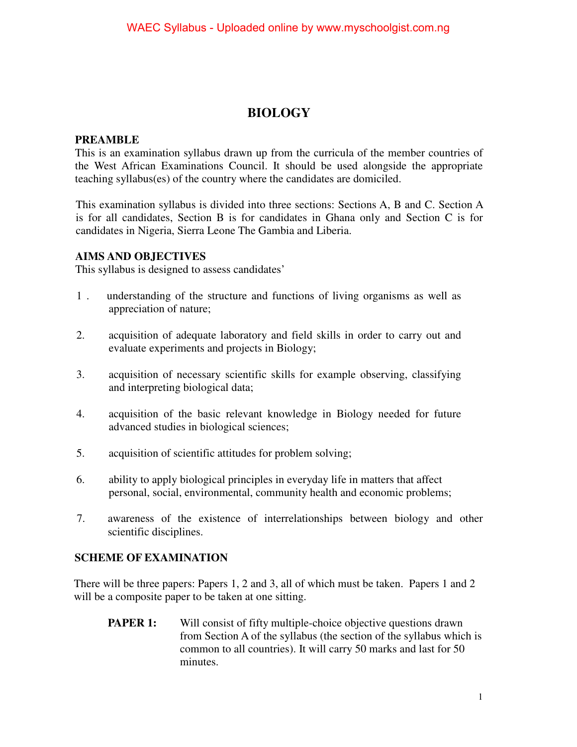#### **BIOLOGY**

#### **PREAMBLE**

This is an examination syllabus drawn up from the curricula of the member countries of the West African Examinations Council. It should be used alongside the appropriate teaching syllabus(es) of the country where the candidates are domiciled.

This examination syllabus is divided into three sections: Sections A, B and C. Section A is for all candidates, Section B is for candidates in Ghana only and Section C is for candidates in Nigeria, Sierra Leone The Gambia and Liberia.

#### **AIMS AND OBJECTIVES**

This syllabus is designed to assess candidates'

- 1 . understanding of the structure and functions of living organisms as well as appreciation of nature;
- 2. acquisition of adequate laboratory and field skills in order to carry out and evaluate experiments and projects in Biology;
- 3. acquisition of necessary scientific skills for example observing, classifying and interpreting biological data;
- 4. acquisition of the basic relevant knowledge in Biology needed for future advanced studies in biological sciences;
- 5. acquisition of scientific attitudes for problem solving;
- 6. ability to apply biological principles in everyday life in matters that affect personal, social, environmental, community health and economic problems;
- 7. awareness of the existence of interrelationships between biology and other scientific disciplines.

#### **SCHEME OF EXAMINATION**

There will be three papers: Papers 1, 2 and 3, all of which must be taken. Papers 1 and 2 will be a composite paper to be taken at one sitting.

**PAPER 1:** Will consist of fifty multiple-choice objective questions drawn from Section A of the syllabus (the section of the syllabus which is common to all countries). It will carry 50 marks and last for 50 minutes.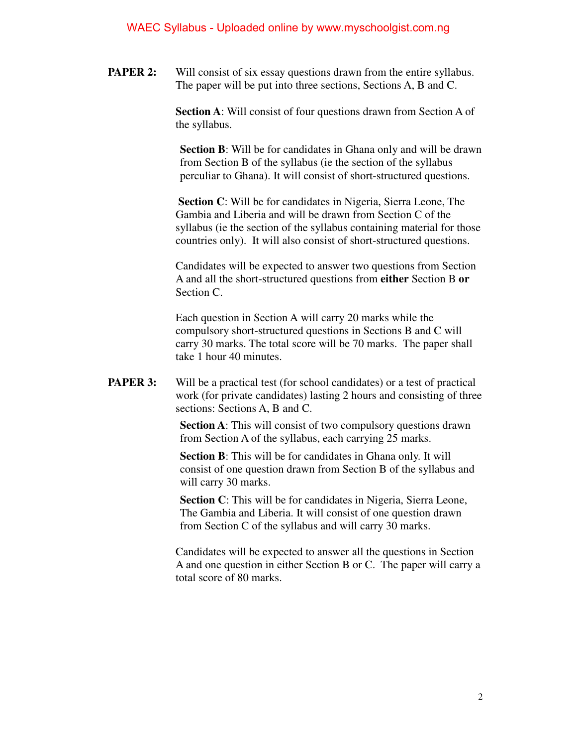**PAPER 2:** Will consist of six essay questions drawn from the entire syllabus. The paper will be put into three sections, Sections A, B and C.

> **Section A**: Will consist of four questions drawn from Section A of the syllabus.

**Section B**: Will be for candidates in Ghana only and will be drawn from Section B of the syllabus (ie the section of the syllabus perculiar to Ghana). It will consist of short-structured questions.

 **Section C**: Will be for candidates in Nigeria, Sierra Leone, The Gambia and Liberia and will be drawn from Section C of the syllabus (ie the section of the syllabus containing material for those countries only). It will also consist of short-structured questions.

Candidates will be expected to answer two questions from Section A and all the short-structured questions from **either** Section B **or** Section C.

Each question in Section A will carry 20 marks while the compulsory short-structured questions in Sections B and C will carry 30 marks. The total score will be 70 marks. The paper shall take 1 hour 40 minutes.

**PAPER 3:** Will be a practical test (for school candidates) or a test of practical work (for private candidates) lasting 2 hours and consisting of three sections: Sections A, B and C.

> **Section A**: This will consist of two compulsory questions drawn from Section A of the syllabus, each carrying 25 marks.

 **Section B**: This will be for candidates in Ghana only. It will consist of one question drawn from Section B of the syllabus and will carry 30 marks.

 **Section C**: This will be for candidates in Nigeria, Sierra Leone, The Gambia and Liberia. It will consist of one question drawn from Section C of the syllabus and will carry 30 marks.

Candidates will be expected to answer all the questions in Section A and one question in either Section B or C. The paper will carry a total score of 80 marks.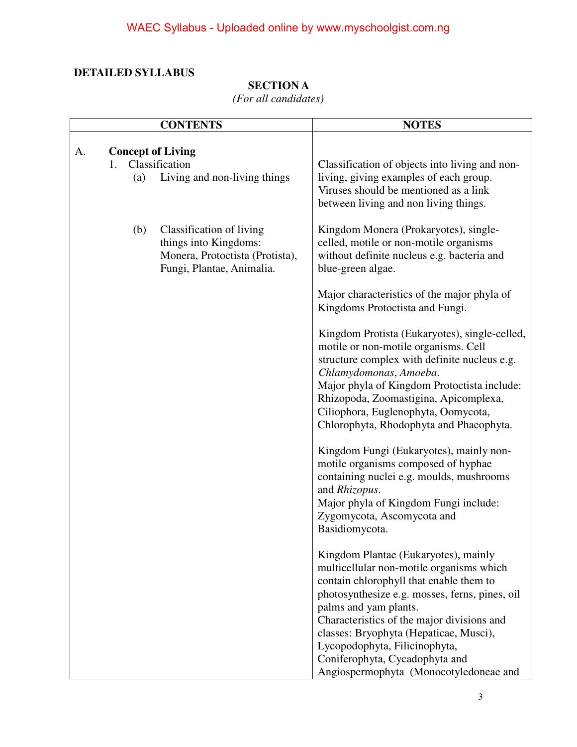#### **DETAILED SYLLABUS**

#### **SECTION A**

*(For all candidates)* 

|    |                                            | <b>CONTENTS</b>                                                                                                   | <b>NOTES</b>                                                                                                                                                                                                                                                                                                                                                                                                |
|----|--------------------------------------------|-------------------------------------------------------------------------------------------------------------------|-------------------------------------------------------------------------------------------------------------------------------------------------------------------------------------------------------------------------------------------------------------------------------------------------------------------------------------------------------------------------------------------------------------|
| A. | <b>Concept of Living</b><br>$1_{-}$<br>(a) | Classification<br>Living and non-living things                                                                    | Classification of objects into living and non-<br>living, giving examples of each group.<br>Viruses should be mentioned as a link<br>between living and non living things.                                                                                                                                                                                                                                  |
|    | (b)                                        | Classification of living<br>things into Kingdoms:<br>Monera, Protoctista (Protista),<br>Fungi, Plantae, Animalia. | Kingdom Monera (Prokaryotes), single-<br>celled, motile or non-motile organisms<br>without definite nucleus e.g. bacteria and<br>blue-green algae.                                                                                                                                                                                                                                                          |
|    |                                            |                                                                                                                   | Major characteristics of the major phyla of<br>Kingdoms Protoctista and Fungi.                                                                                                                                                                                                                                                                                                                              |
|    |                                            |                                                                                                                   | Kingdom Protista (Eukaryotes), single-celled,<br>motile or non-motile organisms. Cell<br>structure complex with definite nucleus e.g.<br>Chlamydomonas, Amoeba.<br>Major phyla of Kingdom Protoctista include:<br>Rhizopoda, Zoomastigina, Apicomplexa,<br>Ciliophora, Euglenophyta, Oomycota,<br>Chlorophyta, Rhodophyta and Phaeophyta.                                                                   |
|    |                                            |                                                                                                                   | Kingdom Fungi (Eukaryotes), mainly non-<br>motile organisms composed of hyphae<br>containing nuclei e.g. moulds, mushrooms<br>and Rhizopus.<br>Major phyla of Kingdom Fungi include:<br>Zygomycota, Ascomycota and<br>Basidiomycota.                                                                                                                                                                        |
|    |                                            |                                                                                                                   | Kingdom Plantae (Eukaryotes), mainly<br>multicellular non-motile organisms which<br>contain chlorophyll that enable them to<br>photosynthesize e.g. mosses, ferns, pines, oil<br>palms and yam plants.<br>Characteristics of the major divisions and<br>classes: Bryophyta (Hepaticae, Musci),<br>Lycopodophyta, Filicinophyta,<br>Coniferophyta, Cycadophyta and<br>Angiospermophyta (Monocotyledoneae and |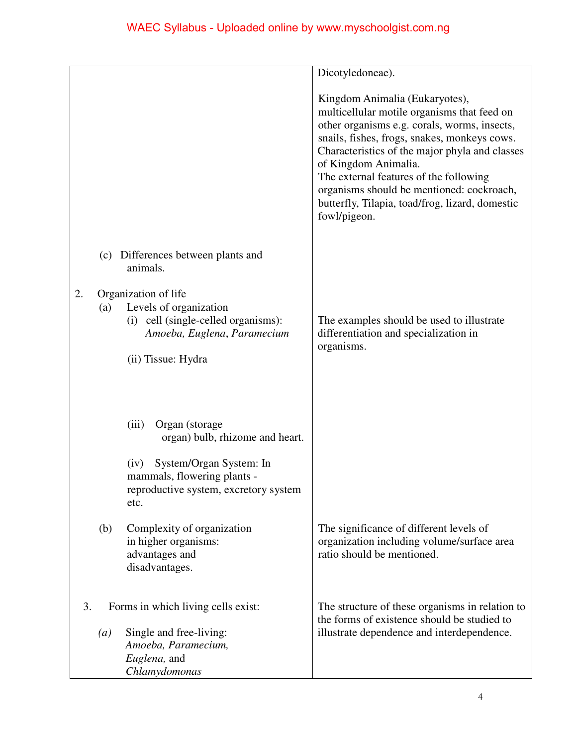|    |                  |                                                                                                                                            | Dicotyledoneae).                                                                                                                                                                                                                                                                                                                                                                                                  |
|----|------------------|--------------------------------------------------------------------------------------------------------------------------------------------|-------------------------------------------------------------------------------------------------------------------------------------------------------------------------------------------------------------------------------------------------------------------------------------------------------------------------------------------------------------------------------------------------------------------|
|    |                  |                                                                                                                                            | Kingdom Animalia (Eukaryotes),<br>multicellular motile organisms that feed on<br>other organisms e.g. corals, worms, insects,<br>snails, fishes, frogs, snakes, monkeys cows.<br>Characteristics of the major phyla and classes<br>of Kingdom Animalia.<br>The external features of the following<br>organisms should be mentioned: cockroach,<br>butterfly, Tilapia, toad/frog, lizard, domestic<br>fowl/pigeon. |
|    | (c)              | Differences between plants and<br>animals.                                                                                                 |                                                                                                                                                                                                                                                                                                                                                                                                                   |
| 2. | (a)              | Organization of life<br>Levels of organization<br>(i) cell (single-celled organisms):<br>Amoeba, Euglena, Paramecium<br>(ii) Tissue: Hydra | The examples should be used to illustrate<br>differentiation and specialization in<br>organisms.                                                                                                                                                                                                                                                                                                                  |
|    |                  | Organ (storage<br>(iii)<br>organ) bulb, rhizome and heart.                                                                                 |                                                                                                                                                                                                                                                                                                                                                                                                                   |
|    |                  | System/Organ System: In<br>(iv)<br>mammals, flowering plants -<br>reproductive system, excretory system<br>etc.                            |                                                                                                                                                                                                                                                                                                                                                                                                                   |
|    | (b)              | Complexity of organization<br>in higher organisms:<br>advantages and<br>disadvantages.                                                     | The significance of different levels of<br>organization including volume/surface area<br>ratio should be mentioned.                                                                                                                                                                                                                                                                                               |
| 3. |                  | Forms in which living cells exist:                                                                                                         | The structure of these organisms in relation to<br>the forms of existence should be studied to                                                                                                                                                                                                                                                                                                                    |
|    | $\left(a\right)$ | Single and free-living:<br>Amoeba, Paramecium,<br>Euglena, and<br>Chlamydomonas                                                            | illustrate dependence and interdependence.                                                                                                                                                                                                                                                                                                                                                                        |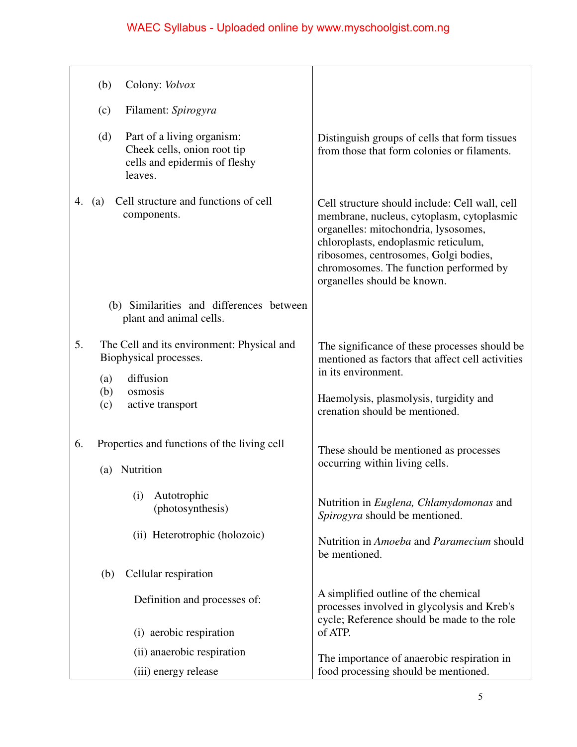| Colony: <i>Volvox</i><br>(b)                                                                                 |                                                                                                                                                                                                                                                                                               |
|--------------------------------------------------------------------------------------------------------------|-----------------------------------------------------------------------------------------------------------------------------------------------------------------------------------------------------------------------------------------------------------------------------------------------|
| Filament: Spirogyra<br>(c)                                                                                   |                                                                                                                                                                                                                                                                                               |
| (d)<br>Part of a living organism:<br>Cheek cells, onion root tip<br>cells and epidermis of fleshy<br>leaves. | Distinguish groups of cells that form tissues<br>from those that form colonies or filaments.                                                                                                                                                                                                  |
| Cell structure and functions of cell<br>(a)<br>4.<br>components.                                             | Cell structure should include: Cell wall, cell<br>membrane, nucleus, cytoplasm, cytoplasmic<br>organelles: mitochondria, lysosomes,<br>chloroplasts, endoplasmic reticulum,<br>ribosomes, centrosomes, Golgi bodies,<br>chromosomes. The function performed by<br>organelles should be known. |
| (b) Similarities and differences between<br>plant and animal cells.                                          |                                                                                                                                                                                                                                                                                               |
| 5.<br>The Cell and its environment: Physical and<br>Biophysical processes.                                   | The significance of these processes should be<br>mentioned as factors that affect cell activities                                                                                                                                                                                             |
| diffusion<br>(a)                                                                                             | in its environment.                                                                                                                                                                                                                                                                           |
| osmosis<br>(b)<br>active transport<br>(c)                                                                    | Haemolysis, plasmolysis, turgidity and<br>crenation should be mentioned.                                                                                                                                                                                                                      |
| Properties and functions of the living cell<br>6.<br>Nutrition<br>(a)                                        | These should be mentioned as processes<br>occurring within living cells.                                                                                                                                                                                                                      |
| Autotrophic<br>(i)<br>(photosynthesis)                                                                       | Nutrition in Euglena, Chlamydomonas and<br>Spirogyra should be mentioned.                                                                                                                                                                                                                     |
| (ii) Heterotrophic (holozoic)                                                                                | Nutrition in Amoeba and Paramecium should<br>be mentioned.                                                                                                                                                                                                                                    |
| Cellular respiration<br>(b)                                                                                  |                                                                                                                                                                                                                                                                                               |
| Definition and processes of:                                                                                 | A simplified outline of the chemical<br>processes involved in glycolysis and Kreb's<br>cycle; Reference should be made to the role                                                                                                                                                            |
| (i) aerobic respiration                                                                                      | of ATP.                                                                                                                                                                                                                                                                                       |
| (ii) anaerobic respiration                                                                                   | The importance of anaerobic respiration in                                                                                                                                                                                                                                                    |
| (iii) energy release                                                                                         | food processing should be mentioned.                                                                                                                                                                                                                                                          |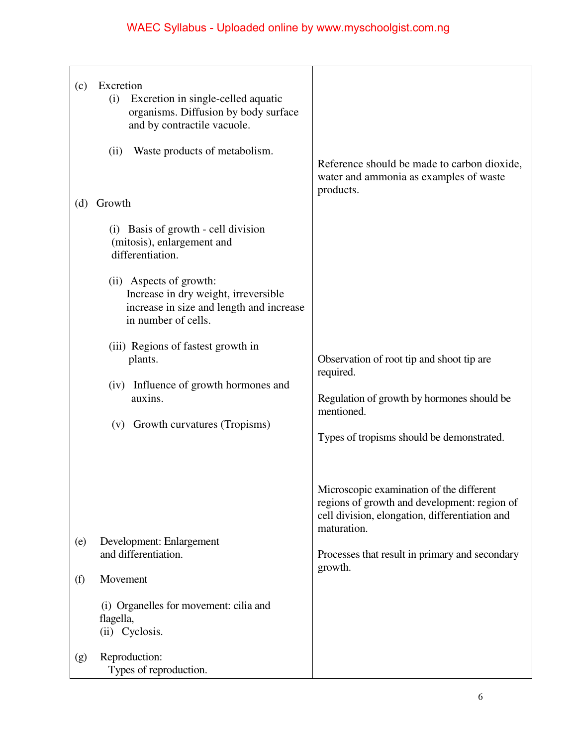| (c)        | Excretion<br>Excretion in single-celled aquatic<br>(i)<br>organisms. Diffusion by body surface<br>and by contractile vacuole.<br>Waste products of metabolism.<br>(ii) |                                                                                                                                                                                                                        |
|------------|------------------------------------------------------------------------------------------------------------------------------------------------------------------------|------------------------------------------------------------------------------------------------------------------------------------------------------------------------------------------------------------------------|
| (d)        | Growth                                                                                                                                                                 | Reference should be made to carbon dioxide,<br>water and ammonia as examples of waste<br>products.                                                                                                                     |
|            | (i) Basis of growth - cell division<br>(mitosis), enlargement and<br>differentiation.                                                                                  |                                                                                                                                                                                                                        |
|            | (ii) Aspects of growth:<br>Increase in dry weight, irreversible<br>increase in size and length and increase<br>in number of cells.                                     |                                                                                                                                                                                                                        |
|            | (iii) Regions of fastest growth in<br>plants.<br>(iv) Influence of growth hormones and<br>auxins.<br>(v) Growth curvatures (Tropisms)                                  | Observation of root tip and shoot tip are<br>required.<br>Regulation of growth by hormones should be<br>mentioned.<br>Types of tropisms should be demonstrated.                                                        |
| (e)<br>(f) | Development: Enlargement<br>and differentiation.<br>Movement<br>(i) Organelles for movement: cilia and<br>flagella,<br>(ii) Cyclosis.                                  | Microscopic examination of the different<br>regions of growth and development: region of<br>cell division, elongation, differentiation and<br>maturation.<br>Processes that result in primary and secondary<br>growth. |
| (g)        | Reproduction:<br>Types of reproduction.                                                                                                                                |                                                                                                                                                                                                                        |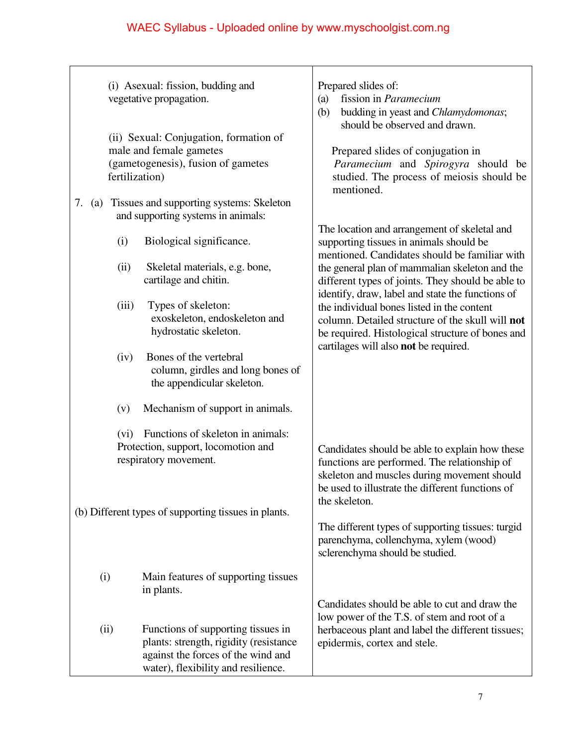|             | (i) Asexual: fission, budding and<br>vegetative propagation.<br>(ii) Sexual: Conjugation, formation of<br>male and female gametes<br>(gametogenesis), fusion of gametes<br>fertilization)                                                                                                                                                                                          | Prepared slides of:<br>fission in Paramecium<br>(a)<br>budding in yeast and Chlamydomonas;<br>(b)<br>should be observed and drawn.<br>Prepared slides of conjugation in<br>Paramecium and Spirogyra should be<br>studied. The process of meiosis should be<br>mentioned.                                                                                                                                                                                                                           |
|-------------|------------------------------------------------------------------------------------------------------------------------------------------------------------------------------------------------------------------------------------------------------------------------------------------------------------------------------------------------------------------------------------|----------------------------------------------------------------------------------------------------------------------------------------------------------------------------------------------------------------------------------------------------------------------------------------------------------------------------------------------------------------------------------------------------------------------------------------------------------------------------------------------------|
| 7.<br>(a)   | Tissues and supporting systems: Skeleton<br>and supporting systems in animals:<br>Biological significance.<br>(i)<br>(ii)<br>Skeletal materials, e.g. bone,<br>cartilage and chitin.<br>Types of skeleton:<br>(iii)<br>exoskeleton, endoskeleton and<br>hydrostatic skeleton.<br>Bones of the vertebral<br>(iv)<br>column, girdles and long bones of<br>the appendicular skeleton. | The location and arrangement of skeletal and<br>supporting tissues in animals should be<br>mentioned. Candidates should be familiar with<br>the general plan of mammalian skeleton and the<br>different types of joints. They should be able to<br>identify, draw, label and state the functions of<br>the individual bones listed in the content<br>column. Detailed structure of the skull will not<br>be required. Histological structure of bones and<br>cartilages will also not be required. |
|             | Mechanism of support in animals.<br>(v)<br>Functions of skeleton in animals:<br>(vi)<br>Protection, support, locomotion and<br>respiratory movement.<br>(b) Different types of supporting tissues in plants.                                                                                                                                                                       | Candidates should be able to explain how these<br>functions are performed. The relationship of<br>skeleton and muscles during movement should<br>be used to illustrate the different functions of<br>the skeleton.<br>The different types of supporting tissues: turgid<br>parenchyma, collenchyma, xylem (wood)<br>sclerenchyma should be studied.                                                                                                                                                |
| (i)<br>(ii) | Main features of supporting tissues<br>in plants.<br>Functions of supporting tissues in<br>plants: strength, rigidity (resistance<br>against the forces of the wind and<br>water), flexibility and resilience.                                                                                                                                                                     | Candidates should be able to cut and draw the<br>low power of the T.S. of stem and root of a<br>herbaceous plant and label the different tissues;<br>epidermis, cortex and stele.                                                                                                                                                                                                                                                                                                                  |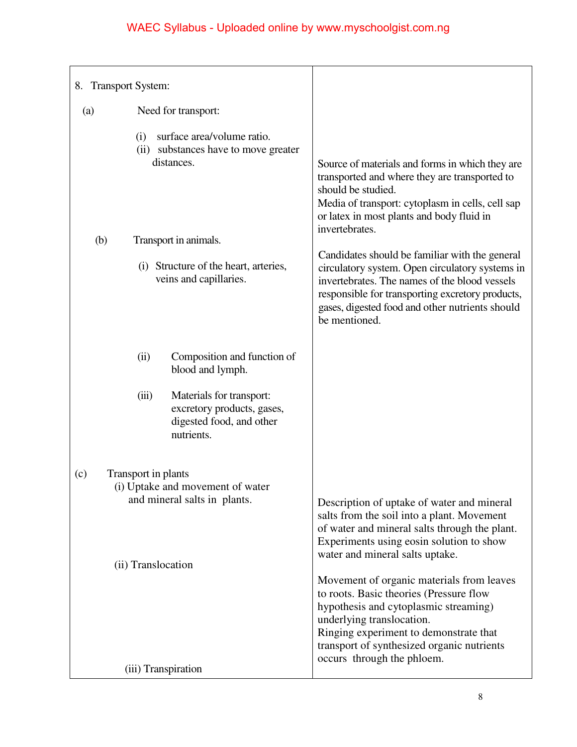| 8. Transport System:                                                                                      |                                                                                                                                                                                                                                                                                  |
|-----------------------------------------------------------------------------------------------------------|----------------------------------------------------------------------------------------------------------------------------------------------------------------------------------------------------------------------------------------------------------------------------------|
| Need for transport:<br>(a)                                                                                |                                                                                                                                                                                                                                                                                  |
| surface area/volume ratio.<br>(i)<br>(ii) substances have to move greater<br>distances.                   | Source of materials and forms in which they are<br>transported and where they are transported to<br>should be studied.<br>Media of transport: cytoplasm in cells, cell sap<br>or latex in most plants and body fluid in<br>invertebrates.                                        |
| (b)<br>Transport in animals.                                                                              |                                                                                                                                                                                                                                                                                  |
| (i) Structure of the heart, arteries,<br>veins and capillaries.                                           | Candidates should be familiar with the general<br>circulatory system. Open circulatory systems in<br>invertebrates. The names of the blood vessels<br>responsible for transporting excretory products,<br>gases, digested food and other nutrients should<br>be mentioned.       |
| Composition and function of<br>(ii)<br>blood and lymph.                                                   |                                                                                                                                                                                                                                                                                  |
| (iii)<br>Materials for transport:<br>excretory products, gases,<br>digested food, and other<br>nutrients. |                                                                                                                                                                                                                                                                                  |
| Transport in plants<br>(c)                                                                                |                                                                                                                                                                                                                                                                                  |
| (i) Uptake and movement of water<br>and mineral salts in plants.                                          | Description of uptake of water and mineral<br>salts from the soil into a plant. Movement<br>of water and mineral salts through the plant.<br>Experiments using eosin solution to show                                                                                            |
| (ii) Translocation                                                                                        | water and mineral salts uptake.                                                                                                                                                                                                                                                  |
| (iii) Transpiration                                                                                       | Movement of organic materials from leaves<br>to roots. Basic theories (Pressure flow<br>hypothesis and cytoplasmic streaming)<br>underlying translocation.<br>Ringing experiment to demonstrate that<br>transport of synthesized organic nutrients<br>occurs through the phloem. |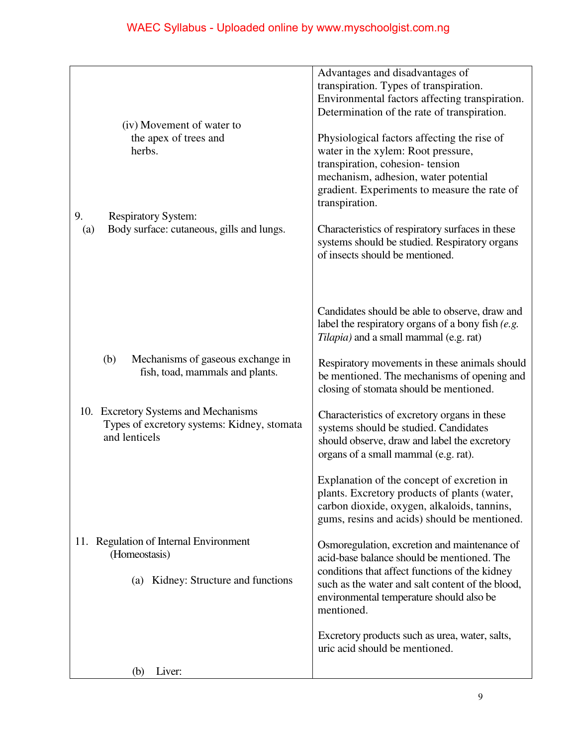|                                                                                                      | Advantages and disadvantages of<br>transpiration. Types of transpiration.<br>Environmental factors affecting transpiration.                                                               |
|------------------------------------------------------------------------------------------------------|-------------------------------------------------------------------------------------------------------------------------------------------------------------------------------------------|
|                                                                                                      | Determination of the rate of transpiration.                                                                                                                                               |
| (iv) Movement of water to                                                                            |                                                                                                                                                                                           |
| the apex of trees and                                                                                | Physiological factors affecting the rise of                                                                                                                                               |
| herbs.                                                                                               | water in the xylem: Root pressure,                                                                                                                                                        |
|                                                                                                      | transpiration, cohesion-tension                                                                                                                                                           |
|                                                                                                      | mechanism, adhesion, water potential<br>gradient. Experiments to measure the rate of                                                                                                      |
|                                                                                                      | transpiration.                                                                                                                                                                            |
| 9.<br><b>Respiratory System:</b>                                                                     |                                                                                                                                                                                           |
| Body surface: cutaneous, gills and lungs.<br>(a)                                                     | Characteristics of respiratory surfaces in these<br>systems should be studied. Respiratory organs<br>of insects should be mentioned.                                                      |
|                                                                                                      | Candidates should be able to observe, draw and<br>label the respiratory organs of a bony fish $(e.g., )$<br>Tilapia) and a small mammal (e.g. rat)                                        |
|                                                                                                      |                                                                                                                                                                                           |
| Mechanisms of gaseous exchange in<br>(b)<br>fish, toad, mammals and plants.                          | Respiratory movements in these animals should<br>be mentioned. The mechanisms of opening and<br>closing of stomata should be mentioned.                                                   |
| 10. Excretory Systems and Mechanisms<br>Types of excretory systems: Kidney, stomata<br>and lenticels | Characteristics of excretory organs in these<br>systems should be studied. Candidates<br>should observe, draw and label the excretory<br>organs of a small mammal (e.g. rat).             |
|                                                                                                      | Explanation of the concept of excretion in<br>plants. Excretory products of plants (water,<br>carbon dioxide, oxygen, alkaloids, tannins,<br>gums, resins and acids) should be mentioned. |
| <b>Regulation of Internal Environment</b><br>11.                                                     | Osmoregulation, excretion and maintenance of                                                                                                                                              |
| (Homeostasis)                                                                                        | acid-base balance should be mentioned. The                                                                                                                                                |
| (a) Kidney: Structure and functions                                                                  | conditions that affect functions of the kidney<br>such as the water and salt content of the blood,<br>environmental temperature should also be<br>mentioned.                              |
|                                                                                                      | Excretory products such as urea, water, salts,<br>uric acid should be mentioned.                                                                                                          |
| Liver:<br>(b)                                                                                        |                                                                                                                                                                                           |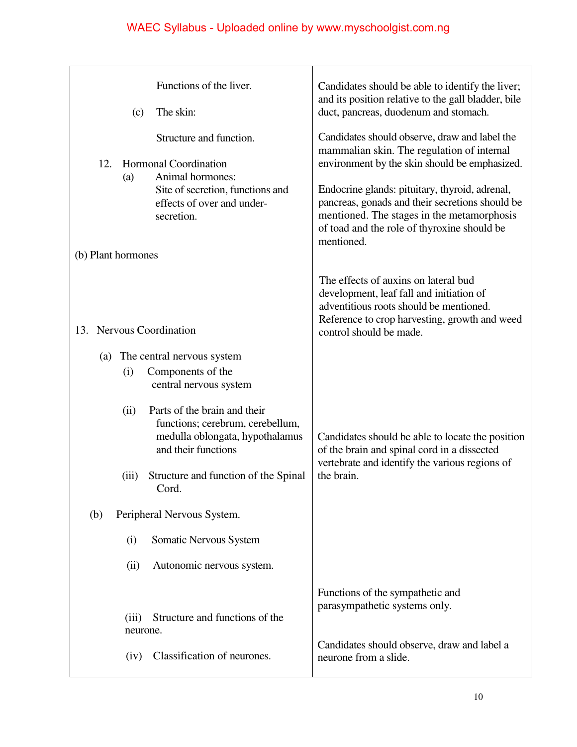|                    | (c)               | Functions of the liver.<br>The skin:                                                                                                                        | Candidates should be able to identify the liver;<br>and its position relative to the gall bladder, bile<br>duct, pancreas, duodenum and stomach.                                                                                                                                                                                                             |
|--------------------|-------------------|-------------------------------------------------------------------------------------------------------------------------------------------------------------|--------------------------------------------------------------------------------------------------------------------------------------------------------------------------------------------------------------------------------------------------------------------------------------------------------------------------------------------------------------|
| 12.                | (a)               | Structure and function.<br><b>Hormonal Coordination</b><br>Animal hormones:<br>Site of secretion, functions and<br>effects of over and under-<br>secretion. | Candidates should observe, draw and label the<br>mammalian skin. The regulation of internal<br>environment by the skin should be emphasized.<br>Endocrine glands: pituitary, thyroid, adrenal,<br>pancreas, gonads and their secretions should be<br>mentioned. The stages in the metamorphosis<br>of toad and the role of thyroxine should be<br>mentioned. |
| (b) Plant hormones |                   |                                                                                                                                                             |                                                                                                                                                                                                                                                                                                                                                              |
| 13.                |                   | <b>Nervous Coordination</b>                                                                                                                                 | The effects of auxins on lateral bud<br>development, leaf fall and initiation of<br>adventitious roots should be mentioned.<br>Reference to crop harvesting, growth and weed<br>control should be made.                                                                                                                                                      |
| (a)                |                   | The central nervous system                                                                                                                                  |                                                                                                                                                                                                                                                                                                                                                              |
|                    | (i)               | Components of the<br>central nervous system                                                                                                                 |                                                                                                                                                                                                                                                                                                                                                              |
|                    | (ii)              | Parts of the brain and their<br>functions; cerebrum, cerebellum,<br>medulla oblongata, hypothalamus<br>and their functions                                  | Candidates should be able to locate the position<br>of the brain and spinal cord in a dissected                                                                                                                                                                                                                                                              |
|                    | (iii)             | Structure and function of the Spinal<br>Cord.                                                                                                               | vertebrate and identify the various regions of<br>the brain.                                                                                                                                                                                                                                                                                                 |
| (b)                |                   | Peripheral Nervous System.                                                                                                                                  |                                                                                                                                                                                                                                                                                                                                                              |
|                    | (i)               | Somatic Nervous System                                                                                                                                      |                                                                                                                                                                                                                                                                                                                                                              |
|                    | (ii)              | Autonomic nervous system.                                                                                                                                   |                                                                                                                                                                                                                                                                                                                                                              |
|                    |                   |                                                                                                                                                             | Functions of the sympathetic and<br>parasympathetic systems only.                                                                                                                                                                                                                                                                                            |
|                    | (iii)<br>neurone. | Structure and functions of the                                                                                                                              |                                                                                                                                                                                                                                                                                                                                                              |
|                    | (iv)              | Classification of neurones.                                                                                                                                 | Candidates should observe, draw and label a<br>neurone from a slide.                                                                                                                                                                                                                                                                                         |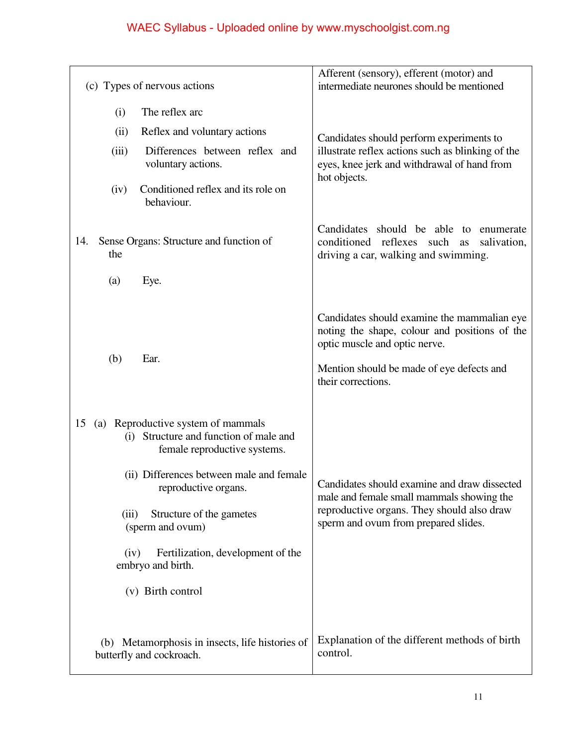| (c) Types of nervous actions                                                                                                                                                                                          |                                                                                                               | Afferent (sensory), efferent (motor) and<br>intermediate neurones should be mentioned                                                                                                            |
|-----------------------------------------------------------------------------------------------------------------------------------------------------------------------------------------------------------------------|---------------------------------------------------------------------------------------------------------------|--------------------------------------------------------------------------------------------------------------------------------------------------------------------------------------------------|
| The reflex arc<br>(i)                                                                                                                                                                                                 |                                                                                                               |                                                                                                                                                                                                  |
| Reflex and voluntary actions<br>(ii)                                                                                                                                                                                  |                                                                                                               | Candidates should perform experiments to                                                                                                                                                         |
| (iii)<br>voluntary actions.                                                                                                                                                                                           | Differences between reflex and                                                                                | illustrate reflex actions such as blinking of the<br>eyes, knee jerk and withdrawal of hand from<br>hot objects.                                                                                 |
| (iv)<br>behaviour.                                                                                                                                                                                                    | Conditioned reflex and its role on                                                                            |                                                                                                                                                                                                  |
| Sense Organs: Structure and function of<br>14.<br>the                                                                                                                                                                 |                                                                                                               | Candidates should be able to enumerate<br>conditioned reflexes such<br>salivation,<br>as<br>driving a car, walking and swimming.                                                                 |
| Eye.<br>(a)                                                                                                                                                                                                           |                                                                                                               |                                                                                                                                                                                                  |
| (b)<br>Ear.                                                                                                                                                                                                           |                                                                                                               | Candidates should examine the mammalian eye<br>noting the shape, colour and positions of the<br>optic muscle and optic nerve.<br>Mention should be made of eye defects and<br>their corrections. |
| (a) Reproductive system of mammals<br>15<br>(i) Structure and function of male and<br>reproductive organs.<br>(iii)<br>Structure of the gametes<br>(sperm and ovum)<br>(iv)<br>embryo and birth.<br>(v) Birth control | female reproductive systems.<br>(ii) Differences between male and female<br>Fertilization, development of the | Candidates should examine and draw dissected<br>male and female small mammals showing the<br>reproductive organs. They should also draw<br>sperm and ovum from prepared slides.                  |
| (b) Metamorphosis in insects, life histories of<br>butterfly and cockroach.                                                                                                                                           |                                                                                                               | Explanation of the different methods of birth<br>control.                                                                                                                                        |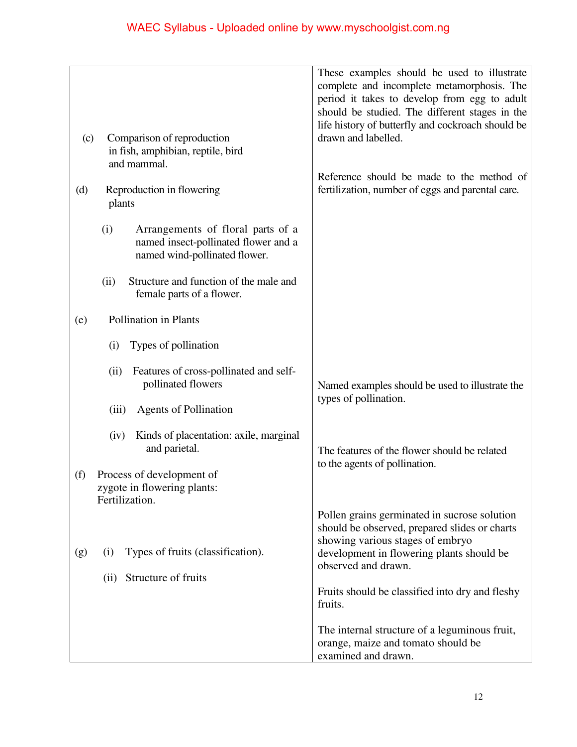|                                                                                                                   | These examples should be used to illustrate<br>complete and incomplete metamorphosis. The<br>period it takes to develop from egg to adult |
|-------------------------------------------------------------------------------------------------------------------|-------------------------------------------------------------------------------------------------------------------------------------------|
|                                                                                                                   | should be studied. The different stages in the<br>life history of butterfly and cockroach should be                                       |
| Comparison of reproduction<br>(c)<br>in fish, amphibian, reptile, bird<br>and mammal.                             | drawn and labelled.                                                                                                                       |
| Reproduction in flowering<br>(d)<br>plants                                                                        | Reference should be made to the method of<br>fertilization, number of eggs and parental care.                                             |
| (i)<br>Arrangements of floral parts of a<br>named insect-pollinated flower and a<br>named wind-pollinated flower. |                                                                                                                                           |
| Structure and function of the male and<br>(ii)<br>female parts of a flower.                                       |                                                                                                                                           |
| Pollination in Plants<br>(e)                                                                                      |                                                                                                                                           |
| Types of pollination<br>(i)                                                                                       |                                                                                                                                           |
| Features of cross-pollinated and self-<br>(ii)<br>pollinated flowers                                              | Named examples should be used to illustrate the                                                                                           |
| <b>Agents of Pollination</b><br>(iii)                                                                             | types of pollination.                                                                                                                     |
| Kinds of placentation: axile, marginal<br>(iv)<br>and parietal.                                                   | The features of the flower should be related                                                                                              |
| Process of development of<br>(f)<br>zygote in flowering plants:<br>Fertilization.                                 | to the agents of pollination.                                                                                                             |
| Types of fruits (classification).<br>(g)<br>(i)                                                                   | Pollen grains germinated in sucrose solution<br>should be observed, prepared slides or charts<br>showing various stages of embryo         |
|                                                                                                                   | development in flowering plants should be<br>observed and drawn.                                                                          |
| Structure of fruits<br>(ii)                                                                                       | Fruits should be classified into dry and fleshy<br>fruits.                                                                                |
|                                                                                                                   | The internal structure of a leguminous fruit,<br>orange, maize and tomato should be<br>examined and drawn.                                |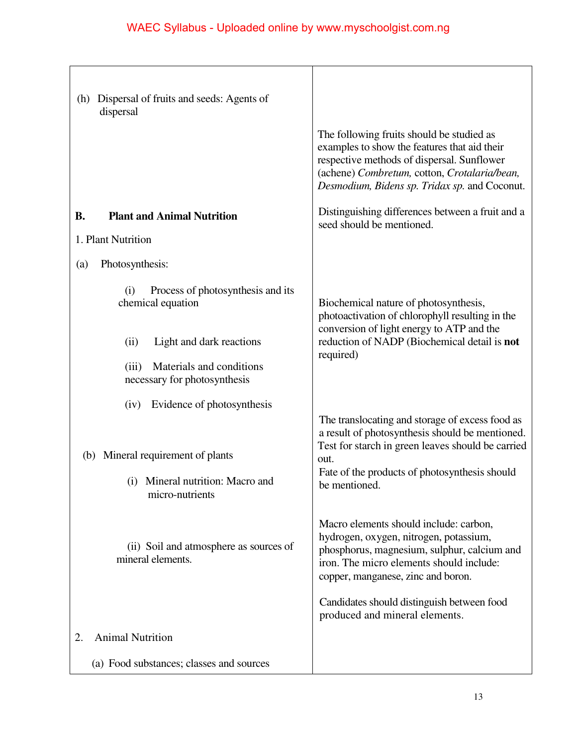| Dispersal of fruits and seeds: Agents of<br>(h)<br>dispersal      |                                                                                                                                                                                                                                          |
|-------------------------------------------------------------------|------------------------------------------------------------------------------------------------------------------------------------------------------------------------------------------------------------------------------------------|
|                                                                   | The following fruits should be studied as<br>examples to show the features that aid their<br>respective methods of dispersal. Sunflower<br>(achene) Combretum, cotton, Crotalaria/bean,<br>Desmodium, Bidens sp. Tridax sp. and Coconut. |
| <b>Plant and Animal Nutrition</b><br><b>B.</b>                    | Distinguishing differences between a fruit and a<br>seed should be mentioned.                                                                                                                                                            |
| 1. Plant Nutrition                                                |                                                                                                                                                                                                                                          |
| Photosynthesis:<br>(a)                                            |                                                                                                                                                                                                                                          |
| Process of photosynthesis and its<br>(i)<br>chemical equation     | Biochemical nature of photosynthesis,<br>photoactivation of chlorophyll resulting in the<br>conversion of light energy to ATP and the                                                                                                    |
| Light and dark reactions<br>(ii)                                  | reduction of NADP (Biochemical detail is not                                                                                                                                                                                             |
| Materials and conditions<br>(iii)<br>necessary for photosynthesis | required)                                                                                                                                                                                                                                |
| Evidence of photosynthesis<br>(iv)                                | The translocating and storage of excess food as<br>a result of photosynthesis should be mentioned.                                                                                                                                       |
| (b) Mineral requirement of plants                                 | Test for starch in green leaves should be carried<br>out.                                                                                                                                                                                |
| (i) Mineral nutrition: Macro and<br>micro-nutrients               | Fate of the products of photosynthesis should<br>be mentioned.                                                                                                                                                                           |
| (ii) Soil and atmosphere as sources of<br>mineral elements.       | Macro elements should include: carbon,<br>hydrogen, oxygen, nitrogen, potassium,<br>phosphorus, magnesium, sulphur, calcium and<br>iron. The micro elements should include:<br>copper, manganese, zinc and boron.                        |
|                                                                   | Candidates should distinguish between food<br>produced and mineral elements.                                                                                                                                                             |
| <b>Animal Nutrition</b><br>2.                                     |                                                                                                                                                                                                                                          |
| (a) Food substances; classes and sources                          |                                                                                                                                                                                                                                          |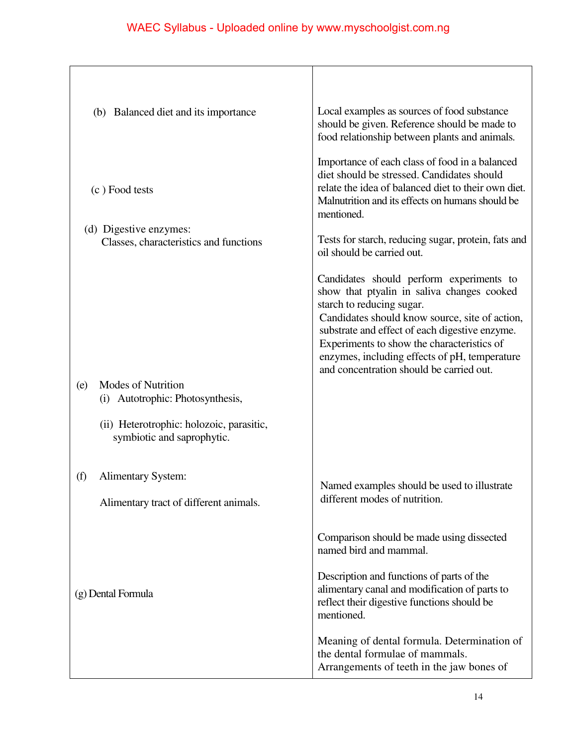| (b) Balanced diet and its importance                                    | Local examples as sources of food substance                                                                                                                                                                                                                                                                                                                        |
|-------------------------------------------------------------------------|--------------------------------------------------------------------------------------------------------------------------------------------------------------------------------------------------------------------------------------------------------------------------------------------------------------------------------------------------------------------|
|                                                                         | should be given. Reference should be made to<br>food relationship between plants and animals.                                                                                                                                                                                                                                                                      |
| (c) Food tests                                                          | Importance of each class of food in a balanced<br>diet should be stressed. Candidates should<br>relate the idea of balanced diet to their own diet.<br>Malnutrition and its effects on humans should be<br>mentioned.                                                                                                                                              |
| (d) Digestive enzymes:<br>Classes, characteristics and functions        | Tests for starch, reducing sugar, protein, fats and<br>oil should be carried out.                                                                                                                                                                                                                                                                                  |
|                                                                         | Candidates should perform experiments to<br>show that ptyalin in saliva changes cooked<br>starch to reducing sugar.<br>Candidates should know source, site of action,<br>substrate and effect of each digestive enzyme.<br>Experiments to show the characteristics of<br>enzymes, including effects of pH, temperature<br>and concentration should be carried out. |
| <b>Modes of Nutrition</b><br>(e)<br>Autotrophic: Photosynthesis,<br>(i) |                                                                                                                                                                                                                                                                                                                                                                    |
| (ii) Heterotrophic: holozoic, parasitic,<br>symbiotic and saprophytic.  |                                                                                                                                                                                                                                                                                                                                                                    |
| (f)<br><b>Alimentary System:</b>                                        | Named examples should be used to illustrate                                                                                                                                                                                                                                                                                                                        |
| Alimentary tract of different animals.                                  | different modes of nutrition.                                                                                                                                                                                                                                                                                                                                      |
|                                                                         | Comparison should be made using dissected<br>named bird and mammal.                                                                                                                                                                                                                                                                                                |
| (g) Dental Formula                                                      | Description and functions of parts of the<br>alimentary canal and modification of parts to<br>reflect their digestive functions should be<br>mentioned.                                                                                                                                                                                                            |
|                                                                         | Meaning of dental formula. Determination of<br>the dental formulae of mammals.<br>Arrangements of teeth in the jaw bones of                                                                                                                                                                                                                                        |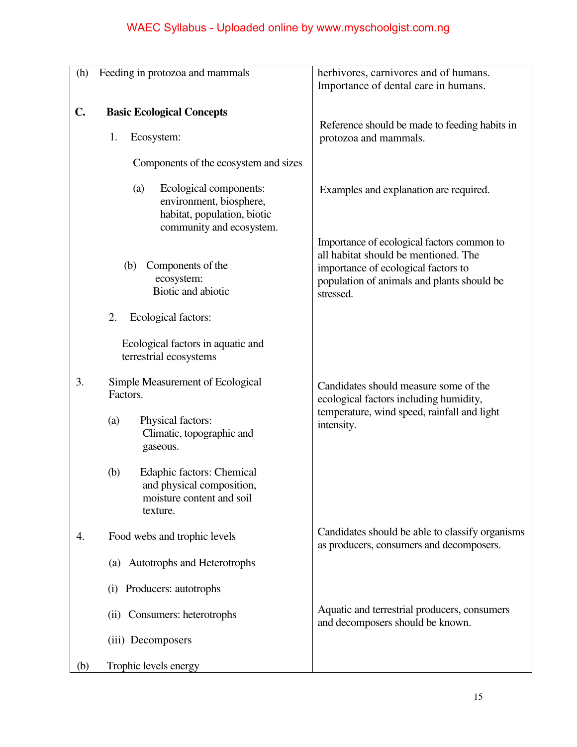| (h)            | Feeding in protozoa and mammals                                                                                     | herbivores, carnivores and of humans.<br>Importance of dental care in humans.                                                                                                        |
|----------------|---------------------------------------------------------------------------------------------------------------------|--------------------------------------------------------------------------------------------------------------------------------------------------------------------------------------|
| $\mathbf{C}$ . | <b>Basic Ecological Concepts</b>                                                                                    |                                                                                                                                                                                      |
|                | 1.<br>Ecosystem:                                                                                                    | Reference should be made to feeding habits in<br>protozoa and mammals.                                                                                                               |
|                | Components of the ecosystem and sizes                                                                               |                                                                                                                                                                                      |
|                | Ecological components:<br>(a)<br>environment, biosphere,<br>habitat, population, biotic<br>community and ecosystem. | Examples and explanation are required.                                                                                                                                               |
|                | Components of the<br>(b)<br>ecosystem:<br>Biotic and abiotic                                                        | Importance of ecological factors common to<br>all habitat should be mentioned. The<br>importance of ecological factors to<br>population of animals and plants should be<br>stressed. |
|                | 2.<br>Ecological factors:                                                                                           |                                                                                                                                                                                      |
|                | Ecological factors in aquatic and<br>terrestrial ecosystems                                                         |                                                                                                                                                                                      |
| 3.             | Simple Measurement of Ecological<br>Factors.                                                                        | Candidates should measure some of the<br>ecological factors including humidity,                                                                                                      |
|                | Physical factors:<br>(a)<br>Climatic, topographic and<br>gaseous.                                                   | temperature, wind speed, rainfall and light<br>intensity.                                                                                                                            |
|                | (b)<br><b>Edaphic factors: Chemical</b><br>and physical composition,<br>moisture content and soil<br>texture.       |                                                                                                                                                                                      |
| 4.             | Food webs and trophic levels                                                                                        | Candidates should be able to classify organisms<br>as producers, consumers and decomposers.                                                                                          |
|                | (a) Autotrophs and Heterotrophs                                                                                     |                                                                                                                                                                                      |
|                | Producers: autotrophs<br>(i)                                                                                        |                                                                                                                                                                                      |
|                | (ii) Consumers: heterotrophs                                                                                        | Aquatic and terrestrial producers, consumers<br>and decomposers should be known.                                                                                                     |
|                | (iii) Decomposers                                                                                                   |                                                                                                                                                                                      |
| (b)            | Trophic levels energy                                                                                               |                                                                                                                                                                                      |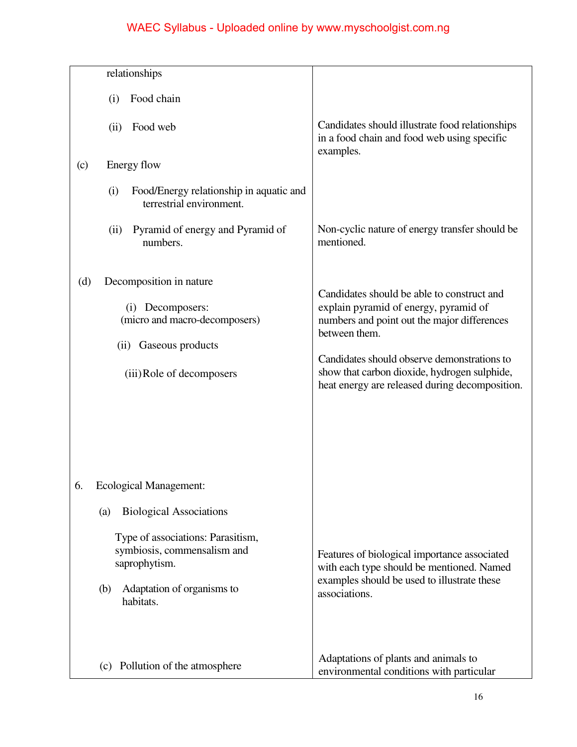|     | relationships                                                                     |                                                                                                                                               |
|-----|-----------------------------------------------------------------------------------|-----------------------------------------------------------------------------------------------------------------------------------------------|
|     |                                                                                   |                                                                                                                                               |
|     | Food chain<br>(i)                                                                 |                                                                                                                                               |
|     | Food web<br>(ii)                                                                  | Candidates should illustrate food relationships<br>in a food chain and food web using specific                                                |
| (c) | Energy flow                                                                       | examples.                                                                                                                                     |
|     | Food/Energy relationship in aquatic and<br>(i)<br>terrestrial environment.        |                                                                                                                                               |
|     | Pyramid of energy and Pyramid of<br>(ii)<br>numbers.                              | Non-cyclic nature of energy transfer should be<br>mentioned.                                                                                  |
| (d) | Decomposition in nature                                                           | Candidates should be able to construct and                                                                                                    |
|     | (i) Decomposers:<br>(micro and macro-decomposers)                                 | explain pyramid of energy, pyramid of<br>numbers and point out the major differences                                                          |
|     | (ii) Gaseous products                                                             | between them.                                                                                                                                 |
|     | (iii) Role of decomposers                                                         | Candidates should observe demonstrations to<br>show that carbon dioxide, hydrogen sulphide,<br>heat energy are released during decomposition. |
|     |                                                                                   |                                                                                                                                               |
|     |                                                                                   |                                                                                                                                               |
| 6.  | <b>Ecological Management:</b>                                                     |                                                                                                                                               |
|     | <b>Biological Associations</b><br>(a)                                             |                                                                                                                                               |
|     | Type of associations: Parasitism,<br>symbiosis, commensalism and<br>saprophytism. | Features of biological importance associated<br>with each type should be mentioned. Named                                                     |
|     | Adaptation of organisms to<br>(b)<br>habitats.                                    | examples should be used to illustrate these<br>associations.                                                                                  |
|     | (c) Pollution of the atmosphere                                                   | Adaptations of plants and animals to<br>environmental conditions with particular                                                              |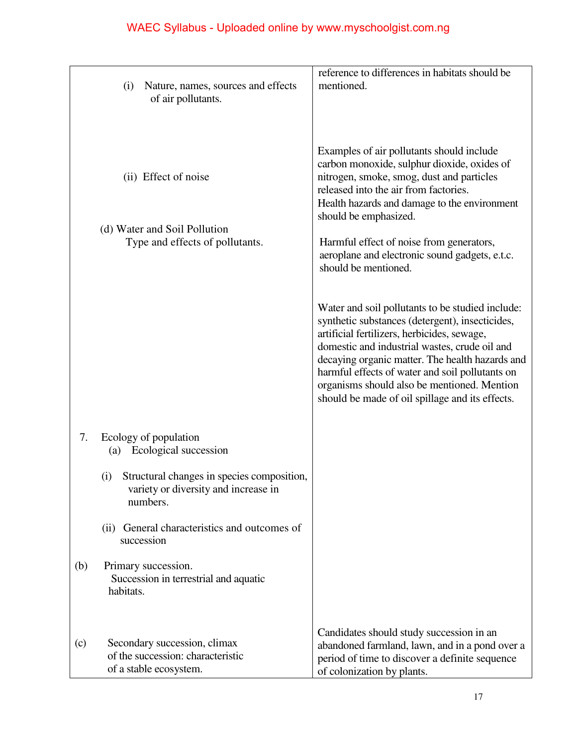|     | Nature, names, sources and effects<br>(i)<br>of air pollutants.                                                                                                | reference to differences in habitats should be<br>mentioned.                                                                                                                                                                                                                                                                                                                                                |
|-----|----------------------------------------------------------------------------------------------------------------------------------------------------------------|-------------------------------------------------------------------------------------------------------------------------------------------------------------------------------------------------------------------------------------------------------------------------------------------------------------------------------------------------------------------------------------------------------------|
|     | (ii) Effect of noise<br>(d) Water and Soil Pollution<br>Type and effects of pollutants.                                                                        | Examples of air pollutants should include<br>carbon monoxide, sulphur dioxide, oxides of<br>nitrogen, smoke, smog, dust and particles<br>released into the air from factories.<br>Health hazards and damage to the environment<br>should be emphasized.<br>Harmful effect of noise from generators,<br>aeroplane and electronic sound gadgets, e.t.c.<br>should be mentioned.                               |
|     |                                                                                                                                                                | Water and soil pollutants to be studied include:<br>synthetic substances (detergent), insecticides,<br>artificial fertilizers, herbicides, sewage,<br>domestic and industrial wastes, crude oil and<br>decaying organic matter. The health hazards and<br>harmful effects of water and soil pollutants on<br>organisms should also be mentioned. Mention<br>should be made of oil spillage and its effects. |
| 7.  | Ecology of population<br>Ecological succession<br>(a)<br>Structural changes in species composition,<br>(i)<br>variety or diversity and increase in<br>numbers. |                                                                                                                                                                                                                                                                                                                                                                                                             |
|     | General characteristics and outcomes of<br>(ii)<br>succession                                                                                                  |                                                                                                                                                                                                                                                                                                                                                                                                             |
| (b) | Primary succession.<br>Succession in terrestrial and aquatic<br>habitats.                                                                                      |                                                                                                                                                                                                                                                                                                                                                                                                             |
| (c) | Secondary succession, climax<br>of the succession: characteristic<br>of a stable ecosystem.                                                                    | Candidates should study succession in an<br>abandoned farmland, lawn, and in a pond over a<br>period of time to discover a definite sequence<br>of colonization by plants.                                                                                                                                                                                                                                  |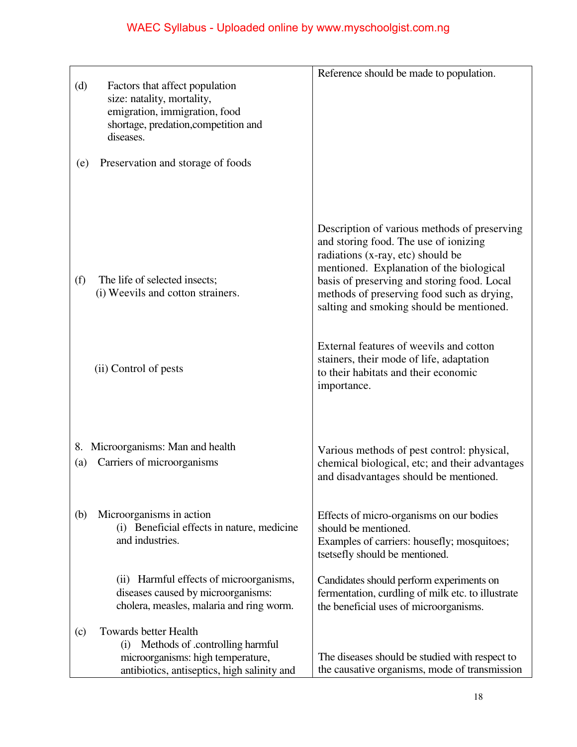| (d)       | Factors that affect population<br>size: natality, mortality,<br>emigration, immigration, food<br>shortage, predation, competition and<br>diseases.      | Reference should be made to population.                                                                                                                                                                                                                                                                         |
|-----------|---------------------------------------------------------------------------------------------------------------------------------------------------------|-----------------------------------------------------------------------------------------------------------------------------------------------------------------------------------------------------------------------------------------------------------------------------------------------------------------|
| (e)       | Preservation and storage of foods                                                                                                                       |                                                                                                                                                                                                                                                                                                                 |
| (f)       | The life of selected insects;<br>(i) Weevils and cotton strainers.                                                                                      | Description of various methods of preserving<br>and storing food. The use of ionizing<br>radiations (x-ray, etc) should be<br>mentioned. Explanation of the biological<br>basis of preserving and storing food. Local<br>methods of preserving food such as drying,<br>salting and smoking should be mentioned. |
|           | (ii) Control of pests                                                                                                                                   | External features of weevils and cotton<br>stainers, their mode of life, adaptation<br>to their habitats and their economic<br>importance.                                                                                                                                                                      |
| 8.<br>(a) | Microorganisms: Man and health<br>Carriers of microorganisms                                                                                            | Various methods of pest control: physical,<br>chemical biological, etc; and their advantages<br>and disadvantages should be mentioned.                                                                                                                                                                          |
| (b)       | Microorganisms in action<br>(i) Beneficial effects in nature, medicine<br>and industries.                                                               | Effects of micro-organisms on our bodies<br>should be mentioned.<br>Examples of carriers: housefly; mosquitoes;<br>tsetsefly should be mentioned.                                                                                                                                                               |
|           | (ii) Harmful effects of microorganisms,<br>diseases caused by microorganisms:<br>cholera, measles, malaria and ring worm.                               | Candidates should perform experiments on<br>fermentation, curdling of milk etc. to illustrate<br>the beneficial uses of microorganisms.                                                                                                                                                                         |
| (c)       | <b>Towards better Health</b><br>(i) Methods of .controlling harmful<br>microorganisms: high temperature,<br>antibiotics, antiseptics, high salinity and | The diseases should be studied with respect to<br>the causative organisms, mode of transmission                                                                                                                                                                                                                 |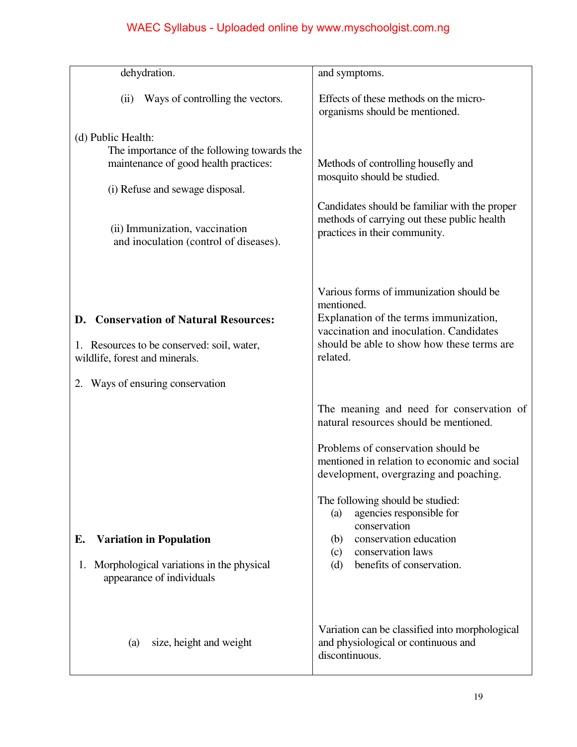| dehydration.                                                                                                                                                                                                              | and symptoms.                                                                                                                                                                                                                                                                                                                                                                                              |
|---------------------------------------------------------------------------------------------------------------------------------------------------------------------------------------------------------------------------|------------------------------------------------------------------------------------------------------------------------------------------------------------------------------------------------------------------------------------------------------------------------------------------------------------------------------------------------------------------------------------------------------------|
| Ways of controlling the vectors.<br>(ii)                                                                                                                                                                                  | Effects of these methods on the micro-<br>organisms should be mentioned.                                                                                                                                                                                                                                                                                                                                   |
| (d) Public Health:<br>The importance of the following towards the<br>maintenance of good health practices:<br>(i) Refuse and sewage disposal.<br>(ii) Immunization, vaccination<br>and inoculation (control of diseases). | Methods of controlling housefly and<br>mosquito should be studied.<br>Candidates should be familiar with the proper<br>methods of carrying out these public health<br>practices in their community.                                                                                                                                                                                                        |
| D. Conservation of Natural Resources:<br>1. Resources to be conserved: soil, water,<br>wildlife, forest and minerals.                                                                                                     | Various forms of immunization should be<br>mentioned.<br>Explanation of the terms immunization,<br>vaccination and inoculation. Candidates<br>should be able to show how these terms are<br>related.                                                                                                                                                                                                       |
| Ways of ensuring conservation<br>2.<br><b>Variation in Population</b><br>Е.<br>1. Morphological variations in the physical<br>appearance of individuals                                                                   | The meaning and need for conservation of<br>natural resources should be mentioned.<br>Problems of conservation should be<br>mentioned in relation to economic and social<br>development, overgrazing and poaching.<br>The following should be studied:<br>agencies responsible for<br>(a)<br>conservation<br>conservation education<br>(b)<br>conservation laws<br>(c)<br>benefits of conservation.<br>(d) |
| size, height and weight<br>(a)                                                                                                                                                                                            | Variation can be classified into morphological<br>and physiological or continuous and<br>discontinuous.                                                                                                                                                                                                                                                                                                    |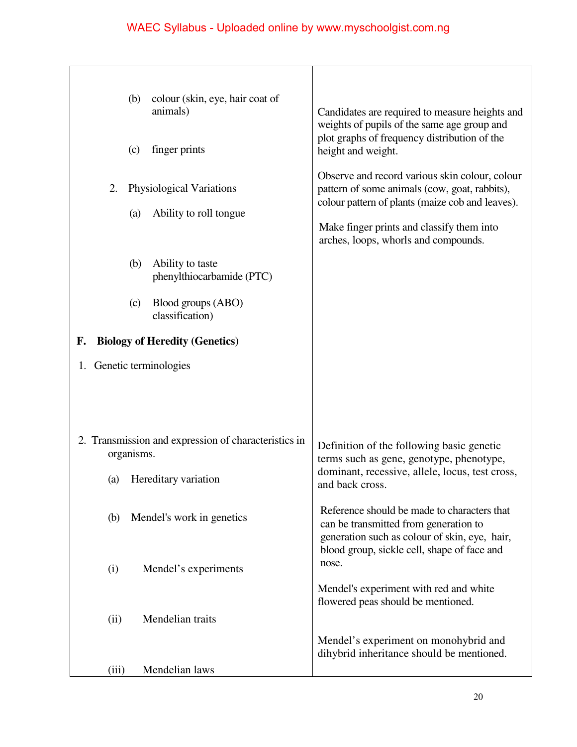|       | colour (skin, eye, hair coat of<br>(b)<br>animals)<br>finger prints<br>(c) | Candidates are required to measure heights and<br>weights of pupils of the same age group and<br>plot graphs of frequency distribution of the<br>height and weight.<br>Observe and record various skin colour, colour |
|-------|----------------------------------------------------------------------------|-----------------------------------------------------------------------------------------------------------------------------------------------------------------------------------------------------------------------|
| 2.    | Physiological Variations<br>Ability to roll tongue<br>(a)                  | pattern of some animals (cow, goat, rabbits),<br>colour pattern of plants (maize cob and leaves).<br>Make finger prints and classify them into<br>arches, loops, whorls and compounds.                                |
|       | Ability to taste<br>(b)<br>phenylthiocarbamide (PTC)                       |                                                                                                                                                                                                                       |
|       | Blood groups (ABO)<br>(c)<br>classification)                               |                                                                                                                                                                                                                       |
| F.    | <b>Biology of Heredity (Genetics)</b>                                      |                                                                                                                                                                                                                       |
|       | 1. Genetic terminologies                                                   |                                                                                                                                                                                                                       |
|       | 2. Transmission and expression of characteristics in<br>organisms.         | Definition of the following basic genetic<br>terms such as gene, genotype, phenotype,                                                                                                                                 |
| (a)   | Hereditary variation                                                       | dominant, recessive, allele, locus, test cross,<br>and back cross.                                                                                                                                                    |
| (b)   | Mendel's work in genetics                                                  | Reference should be made to characters that<br>can be transmitted from generation to<br>generation such as colour of skin, eye, hair,<br>blood group, sickle cell, shape of face and                                  |
| (i)   | Mendel's experiments                                                       | nose.                                                                                                                                                                                                                 |
|       |                                                                            | Mendel's experiment with red and white<br>flowered peas should be mentioned.                                                                                                                                          |
| (ii)  | Mendelian traits                                                           |                                                                                                                                                                                                                       |
|       |                                                                            | Mendel's experiment on monohybrid and<br>dihybrid inheritance should be mentioned.                                                                                                                                    |
| (iii) | Mendelian laws                                                             |                                                                                                                                                                                                                       |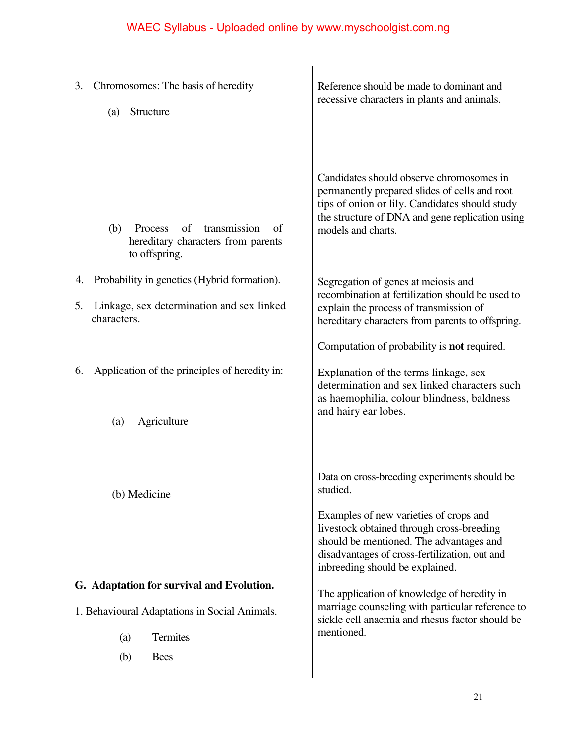| 3.       | Chromosomes: The basis of heredity<br>Structure<br>(a)                                                                              | Reference should be made to dominant and<br>recessive characters in plants and animals.                                                                                                                                                                                        |
|----------|-------------------------------------------------------------------------------------------------------------------------------------|--------------------------------------------------------------------------------------------------------------------------------------------------------------------------------------------------------------------------------------------------------------------------------|
|          | transmission<br>of<br>(b)<br>Process<br>of<br>hereditary characters from parents<br>to offspring.                                   | Candidates should observe chromosomes in<br>permanently prepared slides of cells and root<br>tips of onion or lily. Candidates should study<br>the structure of DNA and gene replication using<br>models and charts.                                                           |
| 4.<br>5. | Probability in genetics (Hybrid formation).<br>Linkage, sex determination and sex linked<br>characters.                             | Segregation of genes at meiosis and<br>recombination at fertilization should be used to<br>explain the process of transmission of<br>hereditary characters from parents to offspring.                                                                                          |
| 6.       | Application of the principles of heredity in:<br>Agriculture<br>(a)                                                                 | Computation of probability is <b>not</b> required.<br>Explanation of the terms linkage, sex<br>determination and sex linked characters such<br>as haemophilia, colour blindness, baldness<br>and hairy ear lobes.                                                              |
|          | (b) Medicine                                                                                                                        | Data on cross-breeding experiments should be<br>studied.<br>Examples of new varieties of crops and<br>livestock obtained through cross-breeding<br>should be mentioned. The advantages and<br>disadvantages of cross-fertilization, out and<br>inbreeding should be explained. |
|          | G. Adaptation for survival and Evolution.<br>1. Behavioural Adaptations in Social Animals.<br>Termites<br>(a)<br>(b)<br><b>Bees</b> | The application of knowledge of heredity in<br>marriage counseling with particular reference to<br>sickle cell anaemia and rhesus factor should be<br>mentioned.                                                                                                               |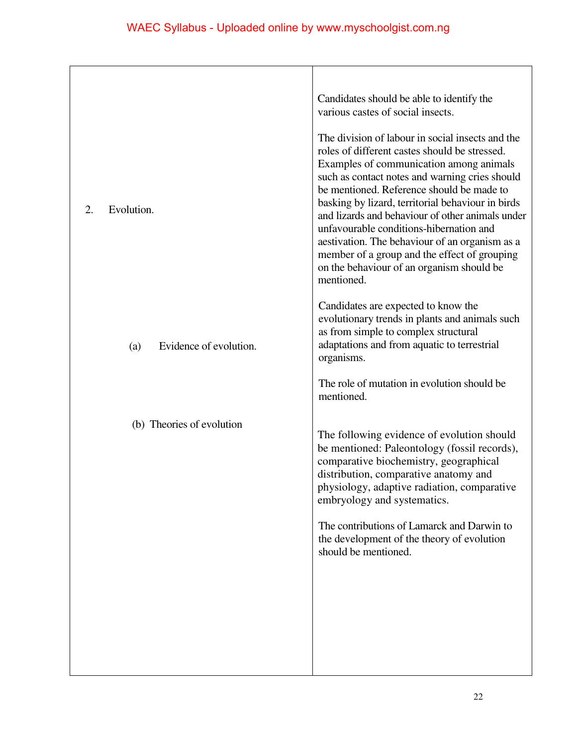| 2.<br>Evolution.              | Candidates should be able to identify the<br>various castes of social insects.<br>The division of labour in social insects and the<br>roles of different castes should be stressed.<br>Examples of communication among animals<br>such as contact notes and warning cries should<br>be mentioned. Reference should be made to<br>basking by lizard, territorial behaviour in birds<br>and lizards and behaviour of other animals under<br>unfavourable conditions-hibernation and<br>aestivation. The behaviour of an organism as a<br>member of a group and the effect of grouping<br>on the behaviour of an organism should be<br>mentioned. |
|-------------------------------|------------------------------------------------------------------------------------------------------------------------------------------------------------------------------------------------------------------------------------------------------------------------------------------------------------------------------------------------------------------------------------------------------------------------------------------------------------------------------------------------------------------------------------------------------------------------------------------------------------------------------------------------|
| Evidence of evolution.<br>(a) | Candidates are expected to know the<br>evolutionary trends in plants and animals such<br>as from simple to complex structural<br>adaptations and from aquatic to terrestrial<br>organisms.                                                                                                                                                                                                                                                                                                                                                                                                                                                     |
|                               | The role of mutation in evolution should be<br>mentioned.                                                                                                                                                                                                                                                                                                                                                                                                                                                                                                                                                                                      |
| (b) Theories of evolution     | The following evidence of evolution should<br>be mentioned: Paleontology (fossil records),<br>comparative biochemistry, geographical<br>distribution, comparative anatomy and<br>physiology, adaptive radiation, comparative<br>embryology and systematics.                                                                                                                                                                                                                                                                                                                                                                                    |
|                               | The contributions of Lamarck and Darwin to<br>the development of the theory of evolution<br>should be mentioned.                                                                                                                                                                                                                                                                                                                                                                                                                                                                                                                               |
|                               |                                                                                                                                                                                                                                                                                                                                                                                                                                                                                                                                                                                                                                                |
|                               |                                                                                                                                                                                                                                                                                                                                                                                                                                                                                                                                                                                                                                                |
|                               |                                                                                                                                                                                                                                                                                                                                                                                                                                                                                                                                                                                                                                                |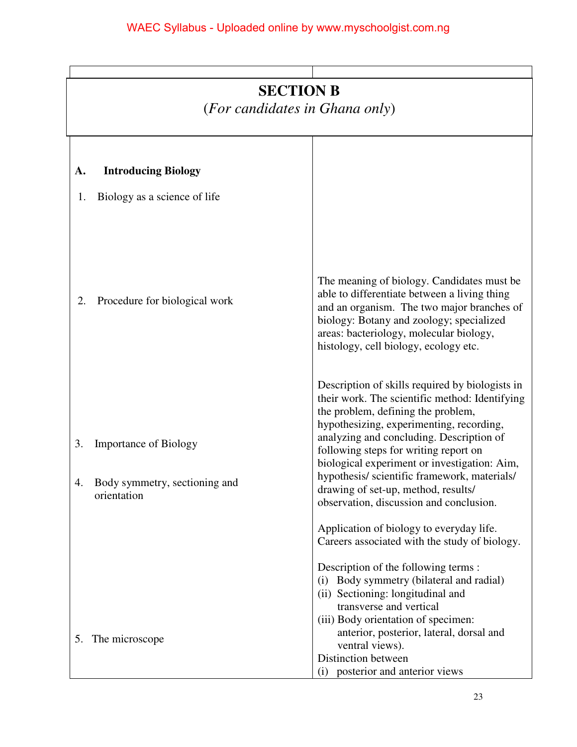|    | <b>SECTION B</b><br>(For candidates in Ghana only) |                                                                                                                                                                                                                                                                       |  |
|----|----------------------------------------------------|-----------------------------------------------------------------------------------------------------------------------------------------------------------------------------------------------------------------------------------------------------------------------|--|
| A. | <b>Introducing Biology</b>                         |                                                                                                                                                                                                                                                                       |  |
| 1. | Biology as a science of life                       | The meaning of biology. Candidates must be<br>able to differentiate between a living thing                                                                                                                                                                            |  |
| 2. | Procedure for biological work                      | and an organism. The two major branches of<br>biology: Botany and zoology; specialized<br>areas: bacteriology, molecular biology,<br>histology, cell biology, ecology etc.<br>Description of skills required by biologists in                                         |  |
| 3. | <b>Importance of Biology</b>                       | their work. The scientific method: Identifying<br>the problem, defining the problem,<br>hypothesizing, experimenting, recording,<br>analyzing and concluding. Description of<br>following steps for writing report on<br>biological experiment or investigation: Aim, |  |
| Δ  | Body symmetry, sectioning and<br>orientation       | hypothesis/ scientific framework, materials/<br>drawing of set-up, method, results/<br>observation, discussion and conclusion.<br>Application of biology to everyday life.<br>Careers associated with the study of biology.                                           |  |
|    |                                                    | Description of the following terms :<br>Body symmetry (bilateral and radial)<br>(i)<br>(ii) Sectioning: longitudinal and<br>transverse and vertical                                                                                                                   |  |
|    | 5. The microscope                                  | (iii) Body orientation of specimen:<br>anterior, posterior, lateral, dorsal and<br>ventral views).<br>Distinction between<br>posterior and anterior views<br>(i)                                                                                                      |  |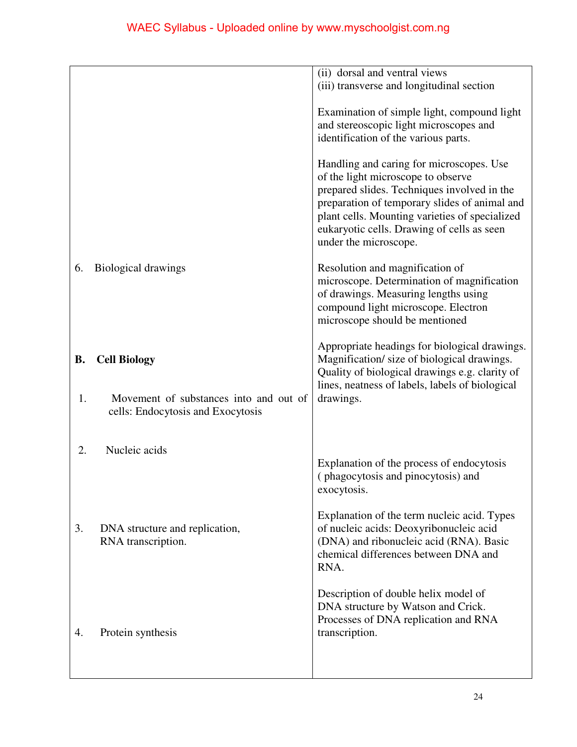|           |                                                                             | (ii) dorsal and ventral views<br>(iii) transverse and longitudinal section                                                                                                                                                                                                                              |
|-----------|-----------------------------------------------------------------------------|---------------------------------------------------------------------------------------------------------------------------------------------------------------------------------------------------------------------------------------------------------------------------------------------------------|
|           |                                                                             | Examination of simple light, compound light<br>and stereoscopic light microscopes and<br>identification of the various parts.                                                                                                                                                                           |
|           |                                                                             | Handling and caring for microscopes. Use<br>of the light microscope to observe<br>prepared slides. Techniques involved in the<br>preparation of temporary slides of animal and<br>plant cells. Mounting varieties of specialized<br>eukaryotic cells. Drawing of cells as seen<br>under the microscope. |
| 6.        | <b>Biological drawings</b>                                                  | Resolution and magnification of<br>microscope. Determination of magnification<br>of drawings. Measuring lengths using<br>compound light microscope. Electron<br>microscope should be mentioned                                                                                                          |
| <b>B.</b> | <b>Cell Biology</b>                                                         | Appropriate headings for biological drawings.<br>Magnification/ size of biological drawings.<br>Quality of biological drawings e.g. clarity of<br>lines, neatness of labels, labels of biological                                                                                                       |
| 1.        | Movement of substances into and out of<br>cells: Endocytosis and Exocytosis | drawings.                                                                                                                                                                                                                                                                                               |
| 2.        | Nucleic acids                                                               | Explanation of the process of endocytosis<br>(phagocytosis and pinocytosis) and<br>exocytosis.                                                                                                                                                                                                          |
| 3.        | DNA structure and replication,<br>RNA transcription.                        | Explanation of the term nucleic acid. Types<br>of nucleic acids: Deoxyribonucleic acid<br>(DNA) and ribonucleic acid (RNA). Basic<br>chemical differences between DNA and<br>RNA.                                                                                                                       |
| 4.        | Protein synthesis                                                           | Description of double helix model of<br>DNA structure by Watson and Crick.<br>Processes of DNA replication and RNA<br>transcription.                                                                                                                                                                    |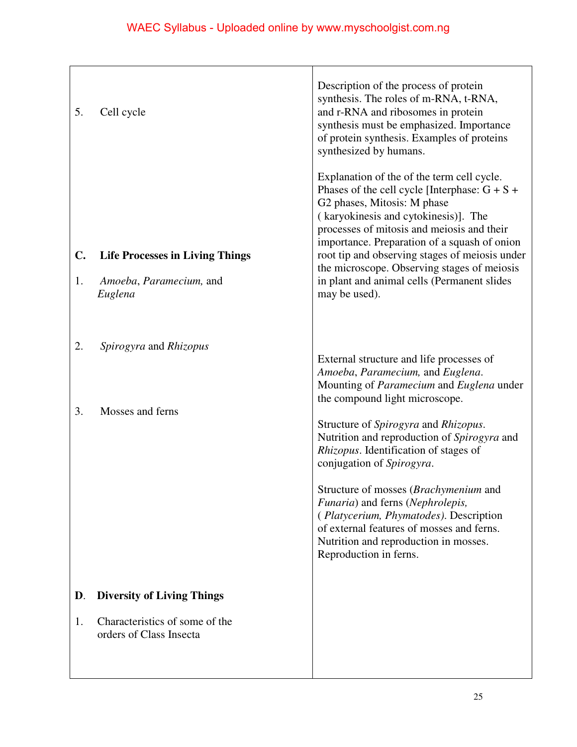| 5.<br>$\mathbf{C}$ .<br>1. | Cell cycle<br><b>Life Processes in Living Things</b><br>Amoeba, Paramecium, and<br>Euglena     | Description of the process of protein<br>synthesis. The roles of m-RNA, t-RNA,<br>and r-RNA and ribosomes in protein<br>synthesis must be emphasized. Importance<br>of protein synthesis. Examples of proteins<br>synthesized by humans.<br>Explanation of the of the term cell cycle.<br>Phases of the cell cycle [Interphase: $G + S +$<br>G2 phases, Mitosis: M phase<br>(karyokinesis and cytokinesis)]. The<br>processes of mitosis and meiosis and their<br>importance. Preparation of a squash of onion<br>root tip and observing stages of meiosis under<br>the microscope. Observing stages of meiosis<br>in plant and animal cells (Permanent slides<br>may be used). |
|----------------------------|------------------------------------------------------------------------------------------------|---------------------------------------------------------------------------------------------------------------------------------------------------------------------------------------------------------------------------------------------------------------------------------------------------------------------------------------------------------------------------------------------------------------------------------------------------------------------------------------------------------------------------------------------------------------------------------------------------------------------------------------------------------------------------------|
| 2.<br>3.                   | Spirogyra and Rhizopus<br>Mosses and ferns                                                     | External structure and life processes of<br>Amoeba, Paramecium, and Euglena.<br>Mounting of Paramecium and Euglena under<br>the compound light microscope.<br>Structure of Spirogyra and Rhizopus.<br>Nutrition and reproduction of Spirogyra and<br><i>Rhizopus.</i> Identification of stages of<br>conjugation of Spirogyra.<br>Structure of mosses (Brachymenium and                                                                                                                                                                                                                                                                                                         |
| D.<br>1.                   | <b>Diversity of Living Things</b><br>Characteristics of some of the<br>orders of Class Insecta | Funaria) and ferns (Nephrolepis,<br>(Platycerium, Phymatodes). Description<br>of external features of mosses and ferns.<br>Nutrition and reproduction in mosses.<br>Reproduction in ferns.                                                                                                                                                                                                                                                                                                                                                                                                                                                                                      |
|                            |                                                                                                |                                                                                                                                                                                                                                                                                                                                                                                                                                                                                                                                                                                                                                                                                 |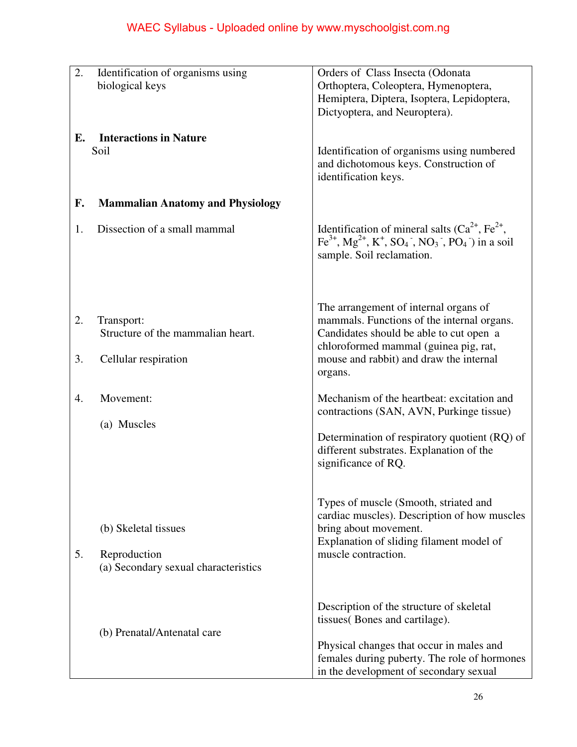| 2. | Identification of organisms using       | Orders of Class Insecta (Odonata                                                                                                                              |
|----|-----------------------------------------|---------------------------------------------------------------------------------------------------------------------------------------------------------------|
|    |                                         |                                                                                                                                                               |
|    | biological keys                         | Orthoptera, Coleoptera, Hymenoptera,                                                                                                                          |
|    |                                         | Hemiptera, Diptera, Isoptera, Lepidoptera,                                                                                                                    |
|    |                                         | Dictyoptera, and Neuroptera).                                                                                                                                 |
|    |                                         |                                                                                                                                                               |
| Е. | <b>Interactions in Nature</b>           |                                                                                                                                                               |
|    | Soil                                    | Identification of organisms using numbered                                                                                                                    |
|    |                                         | and dichotomous keys. Construction of                                                                                                                         |
|    |                                         | identification keys.                                                                                                                                          |
|    |                                         |                                                                                                                                                               |
| F. | <b>Mammalian Anatomy and Physiology</b> |                                                                                                                                                               |
|    |                                         |                                                                                                                                                               |
| 1. | Dissection of a small mammal            | Identification of mineral salts $(Ca^{2+}, Fe^{2+})$ ,                                                                                                        |
|    |                                         | $\text{Fe}^{3+}$ , Mg <sup>2+</sup> , K <sup>+</sup> , SO <sub>4</sub> <sup>-</sup> , NO <sub>3</sub> <sup>-</sup> , PO <sub>4</sub> <sup>-</sup> ) in a soil |
|    |                                         | sample. Soil reclamation.                                                                                                                                     |
|    |                                         |                                                                                                                                                               |
|    |                                         |                                                                                                                                                               |
|    |                                         |                                                                                                                                                               |
|    |                                         | The arrangement of internal organs of                                                                                                                         |
| 2. | Transport:                              | mammals. Functions of the internal organs.                                                                                                                    |
|    | Structure of the mammalian heart.       | Candidates should be able to cut open a                                                                                                                       |
|    |                                         | chloroformed mammal (guinea pig, rat,                                                                                                                         |
| 3. | Cellular respiration                    | mouse and rabbit) and draw the internal                                                                                                                       |
|    |                                         | organs.                                                                                                                                                       |
|    |                                         |                                                                                                                                                               |
| 4. | Movement:                               | Mechanism of the heartbeat: excitation and                                                                                                                    |
|    |                                         | contractions (SAN, AVN, Purkinge tissue)                                                                                                                      |
|    | (a) Muscles                             |                                                                                                                                                               |
|    |                                         | Determination of respiratory quotient (RQ) of                                                                                                                 |
|    |                                         | different substrates. Explanation of the                                                                                                                      |
|    |                                         | significance of RQ.                                                                                                                                           |
|    |                                         |                                                                                                                                                               |
|    |                                         |                                                                                                                                                               |
|    |                                         | Types of muscle (Smooth, striated and                                                                                                                         |
|    |                                         | cardiac muscles). Description of how muscles                                                                                                                  |
|    | (b) Skeletal tissues                    | bring about movement.                                                                                                                                         |
|    |                                         | Explanation of sliding filament model of                                                                                                                      |
| 5. | Reproduction                            | muscle contraction.                                                                                                                                           |
|    | (a) Secondary sexual characteristics    |                                                                                                                                                               |
|    |                                         |                                                                                                                                                               |
|    |                                         |                                                                                                                                                               |
|    |                                         | Description of the structure of skeletal                                                                                                                      |
|    |                                         | tissues (Bones and cartilage).                                                                                                                                |
|    | (b) Prenatal/Antenatal care             |                                                                                                                                                               |
|    |                                         | Physical changes that occur in males and                                                                                                                      |
|    |                                         | females during puberty. The role of hormones                                                                                                                  |
|    |                                         | in the development of secondary sexual                                                                                                                        |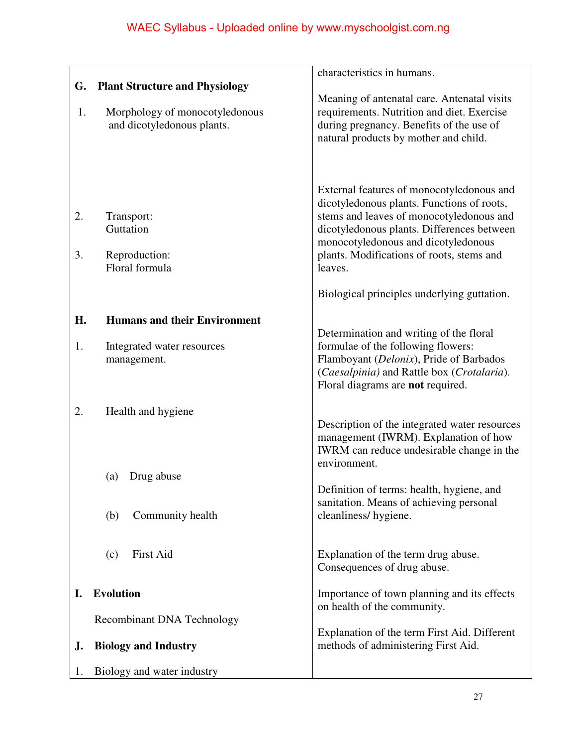|          |                                                                                  | characteristics in humans.                                                                                                                                                                                                                                                       |
|----------|----------------------------------------------------------------------------------|----------------------------------------------------------------------------------------------------------------------------------------------------------------------------------------------------------------------------------------------------------------------------------|
| G.       | <b>Plant Structure and Physiology</b>                                            |                                                                                                                                                                                                                                                                                  |
| 1.       | Morphology of monocotyledonous<br>and dicotyledonous plants.                     | Meaning of antenatal care. Antenatal visits<br>requirements. Nutrition and diet. Exercise<br>during pregnancy. Benefits of the use of<br>natural products by mother and child.                                                                                                   |
| 2.<br>3. | Transport:<br>Guttation<br>Reproduction:<br>Floral formula                       | External features of monocotyledonous and<br>dicotyledonous plants. Functions of roots,<br>stems and leaves of monocotyledonous and<br>dicotyledonous plants. Differences between<br>monocotyledonous and dicotyledonous<br>plants. Modifications of roots, stems and<br>leaves. |
|          |                                                                                  | Biological principles underlying guttation.                                                                                                                                                                                                                                      |
| H.<br>1. | <b>Humans and their Environment</b><br>Integrated water resources<br>management. | Determination and writing of the floral<br>formulae of the following flowers:<br>Flamboyant (Delonix), Pride of Barbados<br>(Caesalpinia) and Rattle box (Crotalaria).<br>Floral diagrams are not required.                                                                      |
| 2.       | Health and hygiene                                                               | Description of the integrated water resources<br>management (IWRM). Explanation of how<br>IWRM can reduce undesirable change in the<br>environment.                                                                                                                              |
|          | Drug abuse<br>(a)                                                                | Definition of terms: health, hygiene, and                                                                                                                                                                                                                                        |
|          | Community health<br>(b)                                                          | sanitation. Means of achieving personal<br>cleanliness/hygiene.                                                                                                                                                                                                                  |
|          | <b>First Aid</b><br>(c)                                                          | Explanation of the term drug abuse.<br>Consequences of drug abuse.                                                                                                                                                                                                               |
| I.       | <b>Evolution</b>                                                                 | Importance of town planning and its effects<br>on health of the community.                                                                                                                                                                                                       |
|          | <b>Recombinant DNA Technology</b>                                                |                                                                                                                                                                                                                                                                                  |
| J.       | <b>Biology and Industry</b>                                                      | Explanation of the term First Aid. Different<br>methods of administering First Aid.                                                                                                                                                                                              |
| 1.       | Biology and water industry                                                       |                                                                                                                                                                                                                                                                                  |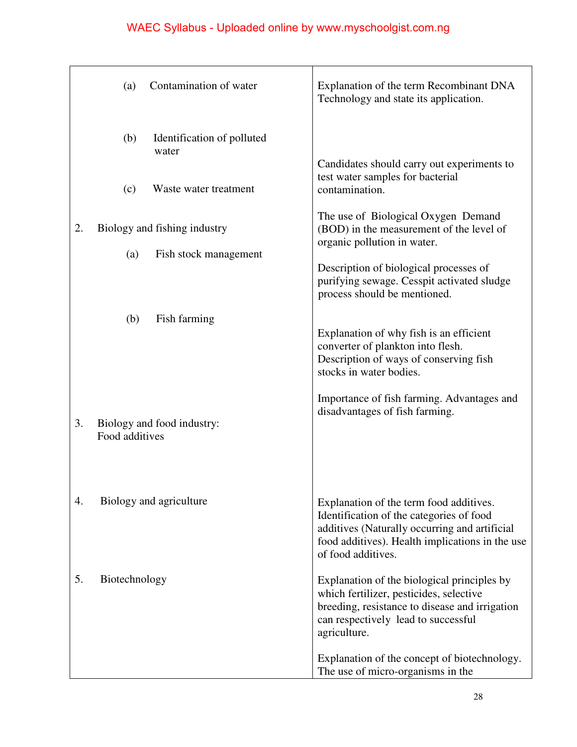|    | Contamination of water<br>(a)                | Explanation of the term Recombinant DNA<br>Technology and state its application.                                                                                                                              |
|----|----------------------------------------------|---------------------------------------------------------------------------------------------------------------------------------------------------------------------------------------------------------------|
|    | Identification of polluted<br>(b)<br>water   |                                                                                                                                                                                                               |
|    | Waste water treatment<br>(c)                 | Candidates should carry out experiments to<br>test water samples for bacterial<br>contamination.                                                                                                              |
| 2. | Biology and fishing industry                 | The use of Biological Oxygen Demand<br>(BOD) in the measurement of the level of<br>organic pollution in water.                                                                                                |
|    | Fish stock management<br>(a)                 | Description of biological processes of<br>purifying sewage. Cesspit activated sludge<br>process should be mentioned.                                                                                          |
|    | Fish farming<br>(b)                          | Explanation of why fish is an efficient<br>converter of plankton into flesh.<br>Description of ways of conserving fish<br>stocks in water bodies.                                                             |
| 3. | Biology and food industry:<br>Food additives | Importance of fish farming. Advantages and<br>disadvantages of fish farming.                                                                                                                                  |
| 4. | Biology and agriculture                      | Explanation of the term food additives.<br>Identification of the categories of food<br>additives (Naturally occurring and artificial<br>food additives). Health implications in the use<br>of food additives. |
| 5. | Biotechnology                                | Explanation of the biological principles by<br>which fertilizer, pesticides, selective<br>breeding, resistance to disease and irrigation<br>can respectively lead to successful<br>agriculture.               |
|    |                                              | Explanation of the concept of biotechnology.<br>The use of micro-organisms in the                                                                                                                             |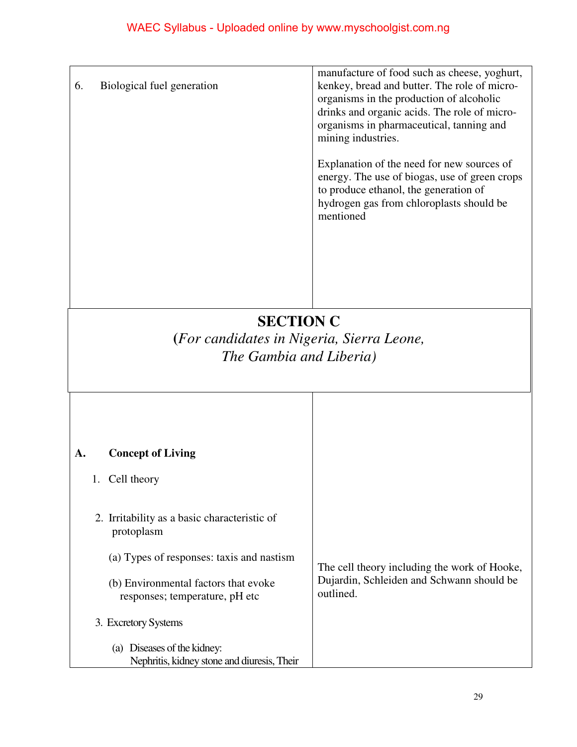|                                                                                          |                                                                         | manufacture of food such as cheese, yoghurt,                                                                                                                                                  |
|------------------------------------------------------------------------------------------|-------------------------------------------------------------------------|-----------------------------------------------------------------------------------------------------------------------------------------------------------------------------------------------|
| 6.                                                                                       | Biological fuel generation                                              | kenkey, bread and butter. The role of micro-<br>organisms in the production of alcoholic<br>drinks and organic acids. The role of micro-<br>organisms in pharmaceutical, tanning and          |
|                                                                                          |                                                                         | mining industries.                                                                                                                                                                            |
|                                                                                          |                                                                         | Explanation of the need for new sources of<br>energy. The use of biogas, use of green crops<br>to produce ethanol, the generation of<br>hydrogen gas from chloroplasts should be<br>mentioned |
|                                                                                          |                                                                         |                                                                                                                                                                                               |
|                                                                                          |                                                                         |                                                                                                                                                                                               |
| <b>SECTION C</b><br>(For candidates in Nigeria, Sierra Leone,<br>The Gambia and Liberia) |                                                                         |                                                                                                                                                                                               |
|                                                                                          |                                                                         |                                                                                                                                                                                               |
|                                                                                          |                                                                         |                                                                                                                                                                                               |
| А.                                                                                       | <b>Concept of Living</b>                                                |                                                                                                                                                                                               |
|                                                                                          | 1. Cell theory                                                          |                                                                                                                                                                                               |
|                                                                                          | 2. Irritability as a basic characteristic of<br>protoplasm              |                                                                                                                                                                                               |
|                                                                                          | (a) Types of responses: taxis and nastism                               | The cell theory including the work of Hooke,                                                                                                                                                  |
|                                                                                          | (b) Environmental factors that evoke<br>responses: temperature, pH etc. | Dujardin, Schleiden and Schwann should be<br>outlined.                                                                                                                                        |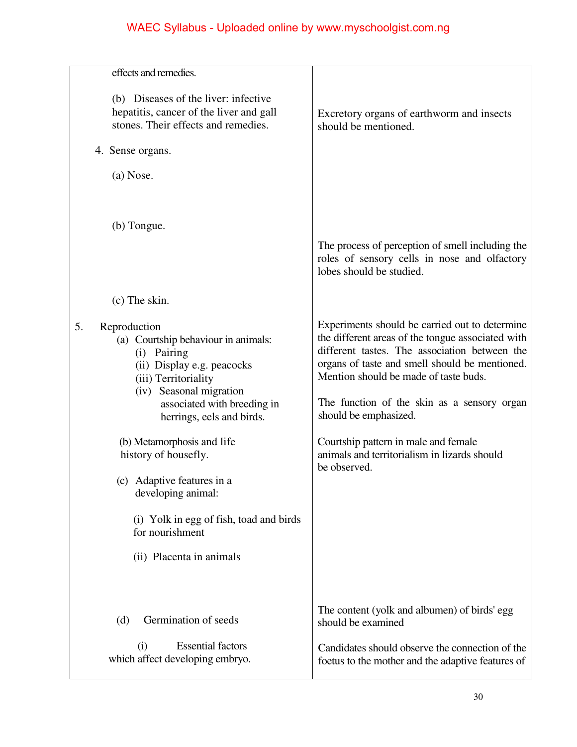| effects and remedies.                                                                                                                                                                                                                                                       |                                                                                                                                                                                                                                                                                                                                                                                                                 |
|-----------------------------------------------------------------------------------------------------------------------------------------------------------------------------------------------------------------------------------------------------------------------------|-----------------------------------------------------------------------------------------------------------------------------------------------------------------------------------------------------------------------------------------------------------------------------------------------------------------------------------------------------------------------------------------------------------------|
| (b) Diseases of the liver: infective<br>hepatitis, cancer of the liver and gall<br>stones. Their effects and remedies.<br>4. Sense organs.                                                                                                                                  | Excretory organs of earthworm and insects<br>should be mentioned.                                                                                                                                                                                                                                                                                                                                               |
| (a) Nose.                                                                                                                                                                                                                                                                   |                                                                                                                                                                                                                                                                                                                                                                                                                 |
|                                                                                                                                                                                                                                                                             |                                                                                                                                                                                                                                                                                                                                                                                                                 |
| (b) Tongue.                                                                                                                                                                                                                                                                 | The process of perception of smell including the<br>roles of sensory cells in nose and olfactory<br>lobes should be studied.                                                                                                                                                                                                                                                                                    |
| (c) The skin.                                                                                                                                                                                                                                                               |                                                                                                                                                                                                                                                                                                                                                                                                                 |
| 5.<br>Reproduction<br>(a) Courtship behaviour in animals:<br>(i) Pairing<br>(ii) Display e.g. peacocks<br>(iii) Territoriality<br>(iv) Seasonal migration<br>associated with breeding in<br>herrings, eels and birds.<br>(b) Metamorphosis and life<br>history of housefly. | Experiments should be carried out to determine<br>the different areas of the tongue associated with<br>different tastes. The association between the<br>organs of taste and smell should be mentioned.<br>Mention should be made of taste buds.<br>The function of the skin as a sensory organ<br>should be emphasized.<br>Courtship pattern in male and female<br>animals and territorialism in lizards should |
| (c) Adaptive features in a<br>developing animal:<br>(i) Yolk in egg of fish, toad and birds<br>for nourishment<br>(ii) Placenta in animals                                                                                                                                  | be observed.                                                                                                                                                                                                                                                                                                                                                                                                    |
| Germination of seeds<br>(d)                                                                                                                                                                                                                                                 | The content (yolk and albumen) of birds' egg<br>should be examined                                                                                                                                                                                                                                                                                                                                              |
| <b>Essential factors</b><br>(i)<br>which affect developing embryo.                                                                                                                                                                                                          | Candidates should observe the connection of the<br>foetus to the mother and the adaptive features of                                                                                                                                                                                                                                                                                                            |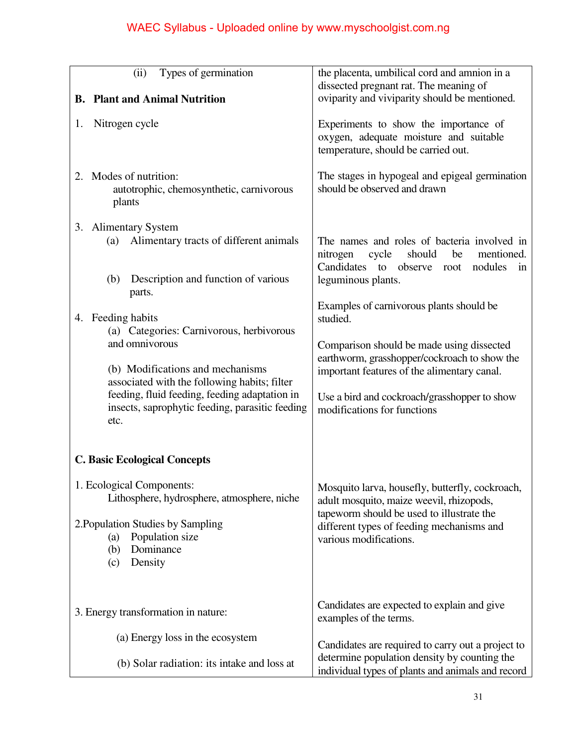| Types of germination<br>(ii)<br><b>B.</b> Plant and Animal Nutrition                                                                                                                                                 | the placenta, umbilical cord and amnion in a<br>dissected pregnant rat. The meaning of<br>oviparity and viviparity should be mentioned.                                                                         |
|----------------------------------------------------------------------------------------------------------------------------------------------------------------------------------------------------------------------|-----------------------------------------------------------------------------------------------------------------------------------------------------------------------------------------------------------------|
| Nitrogen cycle<br>1.                                                                                                                                                                                                 | Experiments to show the importance of<br>oxygen, adequate moisture and suitable<br>temperature, should be carried out.                                                                                          |
| 2. Modes of nutrition:<br>autotrophic, chemosynthetic, carnivorous<br>plants                                                                                                                                         | The stages in hypogeal and epigeal germination<br>should be observed and drawn                                                                                                                                  |
| 3. Alimentary System<br>Alimentary tracts of different animals<br>(a)<br>Description and function of various<br>(b)                                                                                                  | The names and roles of bacteria involved in<br>should<br>nitrogen<br>cycle<br>be<br>mentioned.<br>Candidates to observe root<br>nodules<br>1n<br>leguminous plants.                                             |
| parts.<br>4. Feeding habits<br>(a) Categories: Carnivorous, herbivorous<br>and omnivorous                                                                                                                            | Examples of carnivorous plants should be<br>studied.<br>Comparison should be made using dissected<br>earthworm, grasshopper/cockroach to show the                                                               |
| (b) Modifications and mechanisms<br>associated with the following habits; filter<br>feeding, fluid feeding, feeding adaptation in<br>insects, saprophytic feeding, parasitic feeding<br>etc.                         | important features of the alimentary canal.<br>Use a bird and cockroach/grasshopper to show<br>modifications for functions                                                                                      |
| <b>C. Basic Ecological Concepts</b><br>1. Ecological Components:<br>Lithosphere, hydrosphere, atmosphere, niche<br>2. Population Studies by Sampling<br>Population size<br>(a)<br>Dominance<br>(b)<br>Density<br>(c) | Mosquito larva, housefly, butterfly, cockroach,<br>adult mosquito, maize weevil, rhizopods,<br>tapeworm should be used to illustrate the<br>different types of feeding mechanisms and<br>various modifications. |
| 3. Energy transformation in nature:                                                                                                                                                                                  | Candidates are expected to explain and give<br>examples of the terms.                                                                                                                                           |
| (a) Energy loss in the ecosystem                                                                                                                                                                                     | Candidates are required to carry out a project to                                                                                                                                                               |
| (b) Solar radiation: its intake and loss at                                                                                                                                                                          | determine population density by counting the<br>individual types of plants and animals and record                                                                                                               |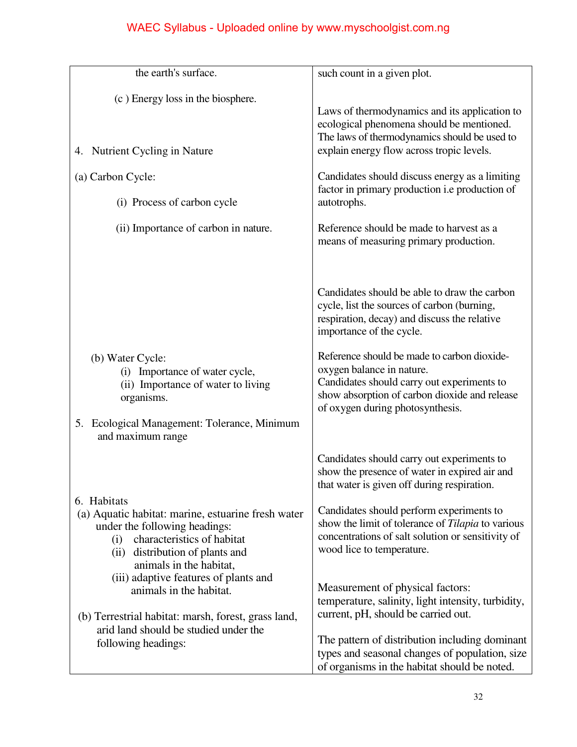| the earth's surface.                                                                                                                                                                                  | such count in a given plot.                                                                                                                                                                                 |
|-------------------------------------------------------------------------------------------------------------------------------------------------------------------------------------------------------|-------------------------------------------------------------------------------------------------------------------------------------------------------------------------------------------------------------|
| (c) Energy loss in the biosphere.<br>4. Nutrient Cycling in Nature                                                                                                                                    | Laws of thermodynamics and its application to<br>ecological phenomena should be mentioned.<br>The laws of thermodynamics should be used to<br>explain energy flow across tropic levels.                     |
| (a) Carbon Cycle:                                                                                                                                                                                     | Candidates should discuss energy as a limiting                                                                                                                                                              |
| (i) Process of carbon cycle                                                                                                                                                                           | factor in primary production <i>i.e</i> production of<br>autotrophs.                                                                                                                                        |
| (ii) Importance of carbon in nature.                                                                                                                                                                  | Reference should be made to harvest as a<br>means of measuring primary production.                                                                                                                          |
|                                                                                                                                                                                                       | Candidates should be able to draw the carbon<br>cycle, list the sources of carbon (burning,<br>respiration, decay) and discuss the relative<br>importance of the cycle.                                     |
| (b) Water Cycle:<br>(i) Importance of water cycle,<br>(ii) Importance of water to living<br>organisms.<br>Ecological Management: Tolerance, Minimum<br>5.<br>and maximum range                        | Reference should be made to carbon dioxide-<br>oxygen balance in nature.<br>Candidates should carry out experiments to<br>show absorption of carbon dioxide and release<br>of oxygen during photosynthesis. |
|                                                                                                                                                                                                       | Candidates should carry out experiments to<br>show the presence of water in expired air and<br>that water is given off during respiration.                                                                  |
| 6. Habitats<br>(a) Aquatic habitat: marine, estuarine fresh water<br>under the following headings:<br>characteristics of habitat<br>(i)<br>(ii) distribution of plants and<br>animals in the habitat, | Candidates should perform experiments to<br>show the limit of tolerance of <i>Tilapia</i> to various<br>concentrations of salt solution or sensitivity of<br>wood lice to temperature.                      |
| (iii) adaptive features of plants and<br>animals in the habitat.<br>(b) Terrestrial habitat: marsh, forest, grass land,                                                                               | Measurement of physical factors:<br>temperature, salinity, light intensity, turbidity,<br>current, pH, should be carried out.                                                                               |
| arid land should be studied under the<br>following headings:                                                                                                                                          | The pattern of distribution including dominant<br>types and seasonal changes of population, size<br>of organisms in the habitat should be noted.                                                            |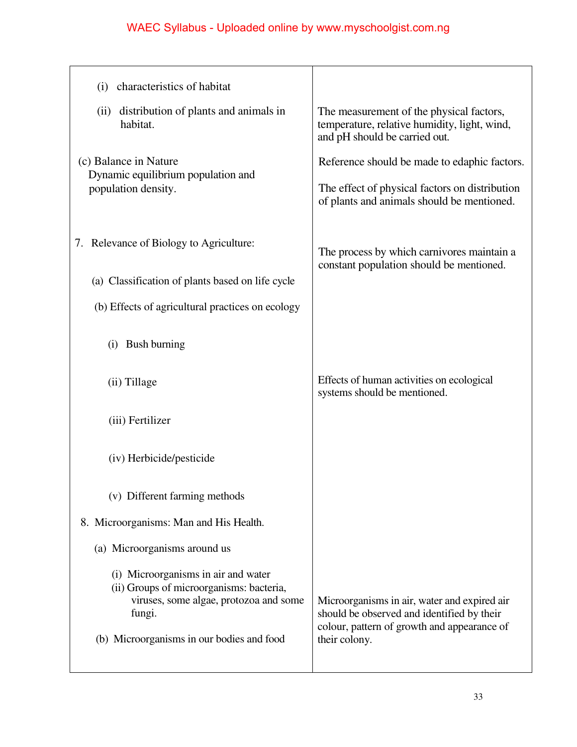| characteristics of habitat<br>(i)                                                                                                   |                                                                                                                                              |
|-------------------------------------------------------------------------------------------------------------------------------------|----------------------------------------------------------------------------------------------------------------------------------------------|
| distribution of plants and animals in<br>(ii)<br>habitat.                                                                           | The measurement of the physical factors,<br>temperature, relative humidity, light, wind,<br>and pH should be carried out.                    |
| (c) Balance in Nature<br>Dynamic equilibrium population and<br>population density.                                                  | Reference should be made to edaphic factors.<br>The effect of physical factors on distribution<br>of plants and animals should be mentioned. |
| 7. Relevance of Biology to Agriculture:                                                                                             | The process by which carnivores maintain a<br>constant population should be mentioned.                                                       |
| (a) Classification of plants based on life cycle<br>(b) Effects of agricultural practices on ecology                                |                                                                                                                                              |
| Bush burning<br>(i)                                                                                                                 |                                                                                                                                              |
| (ii) Tillage                                                                                                                        | Effects of human activities on ecological<br>systems should be mentioned.                                                                    |
| (iii) Fertilizer                                                                                                                    |                                                                                                                                              |
| (iv) Herbicide/pesticide                                                                                                            |                                                                                                                                              |
| (v) Different farming methods                                                                                                       |                                                                                                                                              |
| 8. Microorganisms: Man and His Health.                                                                                              |                                                                                                                                              |
| (a) Microorganisms around us                                                                                                        |                                                                                                                                              |
| (i) Microorganisms in air and water<br>(ii) Groups of microorganisms: bacteria,<br>viruses, some algae, protozoa and some<br>fungi. | Microorganisms in air, water and expired air<br>should be observed and identified by their<br>colour, pattern of growth and appearance of    |
| (b) Microorganisms in our bodies and food                                                                                           | their colony.                                                                                                                                |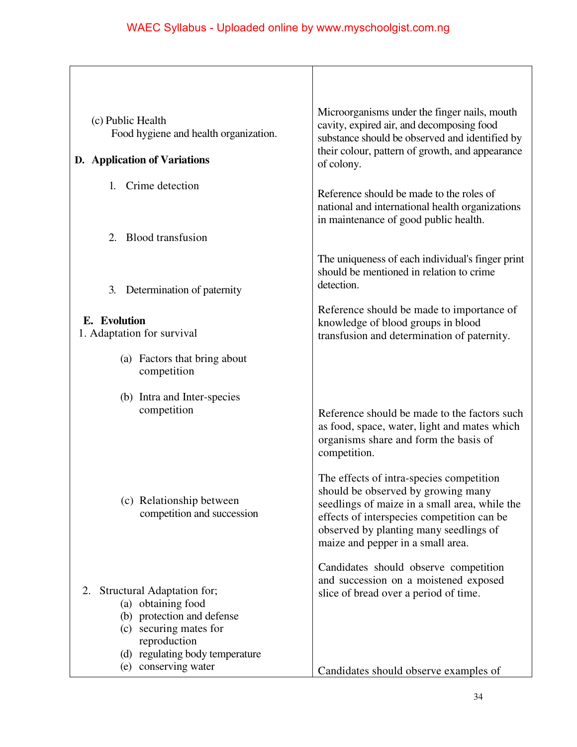| (c) Public Health<br>Food hygiene and health organization.                                                                                                                                | Microorganisms under the finger nails, mouth<br>cavity, expired air, and decomposing food<br>substance should be observed and identified by                                                                                                                  |
|-------------------------------------------------------------------------------------------------------------------------------------------------------------------------------------------|--------------------------------------------------------------------------------------------------------------------------------------------------------------------------------------------------------------------------------------------------------------|
| D. Application of Variations                                                                                                                                                              | their colour, pattern of growth, and appearance<br>of colony.                                                                                                                                                                                                |
| 1. Crime detection                                                                                                                                                                        | Reference should be made to the roles of<br>national and international health organizations<br>in maintenance of good public health.                                                                                                                         |
| <b>Blood transfusion</b><br>2.                                                                                                                                                            |                                                                                                                                                                                                                                                              |
| Determination of paternity<br>3.                                                                                                                                                          | The uniqueness of each individual's finger print<br>should be mentioned in relation to crime<br>detection.                                                                                                                                                   |
| E. Evolution<br>1. Adaptation for survival                                                                                                                                                | Reference should be made to importance of<br>knowledge of blood groups in blood<br>transfusion and determination of paternity.                                                                                                                               |
| (a) Factors that bring about<br>competition                                                                                                                                               |                                                                                                                                                                                                                                                              |
| (b) Intra and Inter-species<br>competition                                                                                                                                                | Reference should be made to the factors such<br>as food, space, water, light and mates which<br>organisms share and form the basis of<br>competition.                                                                                                        |
| (c) Relationship between<br>competition and succession                                                                                                                                    | The effects of intra-species competition<br>should be observed by growing many<br>seedlings of maize in a small area, while the<br>effects of interspecies competition can be<br>observed by planting many seedlings of<br>maize and pepper in a small area. |
| Structural Adaptation for;<br>2.<br>(a) obtaining food<br>(b) protection and defense<br>(c) securing mates for<br>reproduction<br>(d) regulating body temperature<br>(e) conserving water | Candidates should observe competition<br>and succession on a moistened exposed<br>slice of bread over a period of time.<br>Candidates should observe examples of                                                                                             |